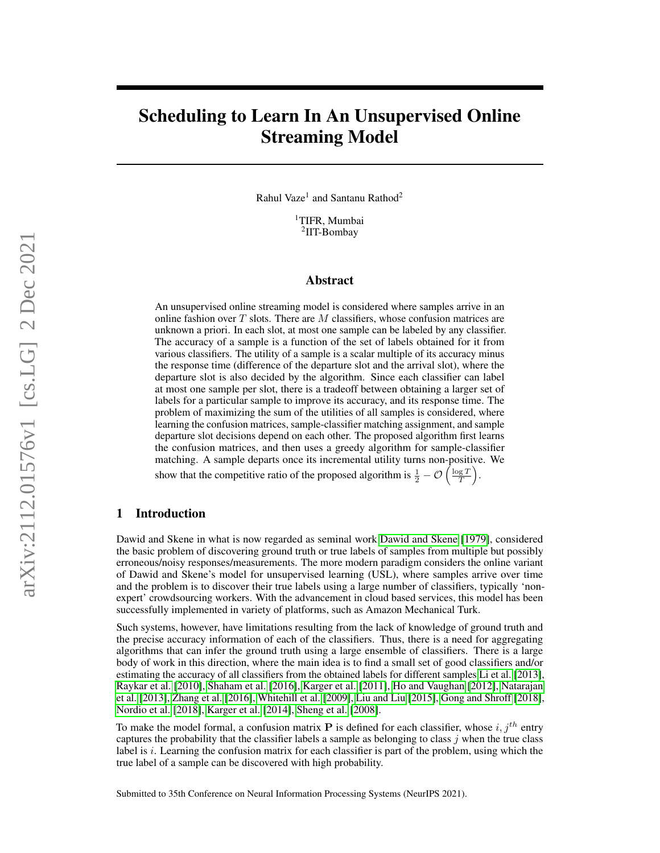# Scheduling to Learn In An Unsupervised Online Streaming Model

Rahul Vaze<sup>1</sup> and Santanu Rathod<sup>2</sup>

<sup>1</sup>TIFR, Mumbai 2 IIT-Bombay

## Abstract

An unsupervised online streaming model is considered where samples arrive in an online fashion over  $T$  slots. There are  $M$  classifiers, whose confusion matrices are unknown a priori. In each slot, at most one sample can be labeled by any classifier. The accuracy of a sample is a function of the set of labels obtained for it from various classifiers. The utility of a sample is a scalar multiple of its accuracy minus the response time (difference of the departure slot and the arrival slot), where the departure slot is also decided by the algorithm. Since each classifier can label at most one sample per slot, there is a tradeoff between obtaining a larger set of labels for a particular sample to improve its accuracy, and its response time. The problem of maximizing the sum of the utilities of all samples is considered, where learning the confusion matrices, sample-classifier matching assignment, and sample departure slot decisions depend on each other. The proposed algorithm first learns the confusion matrices, and then uses a greedy algorithm for sample-classifier matching. A sample departs once its incremental utility turns non-positive. We show that the competitive ratio of the proposed algorithm is  $\frac{1}{2} - \mathcal{O}\left(\frac{\log T}{T}\right)$ .

# 1 Introduction

Dawid and Skene in what is now regarded as seminal work [Dawid and Skene](#page-9-0) [\[1979\]](#page-9-0), considered the basic problem of discovering ground truth or true labels of samples from multiple but possibly erroneous/noisy responses/measurements. The more modern paradigm considers the online variant of Dawid and Skene's model for unsupervised learning (USL), where samples arrive over time and the problem is to discover their true labels using a large number of classifiers, typically 'nonexpert' crowdsourcing workers. With the advancement in cloud based services, this model has been successfully implemented in variety of platforms, such as Amazon Mechanical Turk.

Such systems, however, have limitations resulting from the lack of knowledge of ground truth and the precise accuracy information of each of the classifiers. Thus, there is a need for aggregating algorithms that can infer the ground truth using a large ensemble of classifiers. There is a large body of work in this direction, where the main idea is to find a small set of good classifiers and/or estimating the accuracy of all classifiers from the obtained labels for different samples [Li et al.](#page-9-1) [\[2013\]](#page-9-1), [Raykar et al.](#page-9-2) [\[2010\]](#page-9-2), [Shaham et al.](#page-9-3) [\[2016\]](#page-9-3), [Karger et al.](#page-10-0) [\[2011\]](#page-10-0), [Ho and Vaughan](#page-10-1) [\[2012\]](#page-10-1), [Natarajan](#page-10-2) [et al.](#page-10-2) [\[2013\]](#page-10-2), [Zhang et al.](#page-10-3) [\[2016\]](#page-10-3), [Whitehill et al.](#page-10-4) [\[2009\]](#page-10-4), [Liu and Liu](#page-10-5) [\[2015\]](#page-10-5), [Gong and Shroff](#page-10-6) [\[2018\]](#page-10-6), [Nordio et al.](#page-10-7) [\[2018\]](#page-10-7), [Karger et al.](#page-10-8) [\[2014\]](#page-10-8), [Sheng et al.](#page-10-9) [\[2008\]](#page-10-9).

To make the model formal, a confusion matrix **P** is defined for each classifier, whose  $i, j<sup>th</sup>$  entry captures the probability that the classifier labels a sample as belonging to class  $j$  when the true class label is  $i$ . Learning the confusion matrix for each classifier is part of the problem, using which the true label of a sample can be discovered with high probability.

Submitted to 35th Conference on Neural Information Processing Systems (NeurIPS 2021).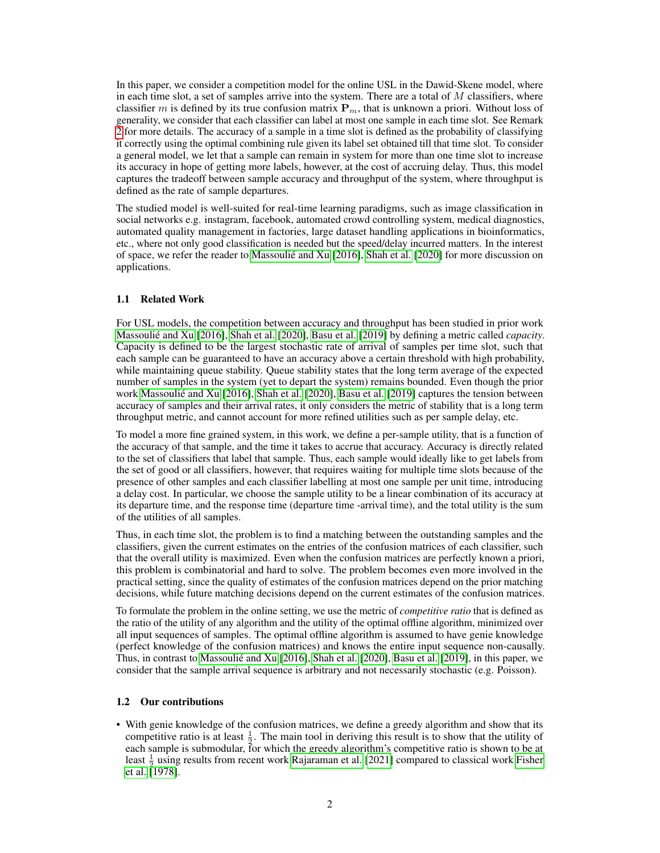In this paper, we consider a competition model for the online USL in the Dawid-Skene model, where in each time slot, a set of samples arrive into the system. There are a total of  $M$  classifiers, where classifier m is defined by its true confusion matrix  $P_m$ , that is unknown a priori. Without loss of generality, we consider that each classifier can label at most one sample in each time slot. See Remark [2](#page-2-0) for more details. The accuracy of a sample in a time slot is defined as the probability of classifying it correctly using the optimal combining rule given its label set obtained till that time slot. To consider a general model, we let that a sample can remain in system for more than one time slot to increase its accuracy in hope of getting more labels, however, at the cost of accruing delay. Thus, this model captures the tradeoff between sample accuracy and throughput of the system, where throughput is defined as the rate of sample departures.

The studied model is well-suited for real-time learning paradigms, such as image classification in social networks e.g. instagram, facebook, automated crowd controlling system, medical diagnostics, automated quality management in factories, large dataset handling applications in bioinformatics, etc., where not only good classification is needed but the speed/delay incurred matters. In the interest of space, we refer the reader to [Massoulié and Xu](#page-10-10) [\[2016\]](#page-10-10), [Shah et al.](#page-10-11) [\[2020\]](#page-10-11) for more discussion on applications.

## 1.1 Related Work

For USL models, the competition between accuracy and throughput has been studied in prior work [Massoulié and Xu](#page-10-10) [\[2016\]](#page-10-10), [Shah et al.](#page-10-11) [\[2020\]](#page-10-11), [Basu et al.](#page-10-12) [\[2019\]](#page-10-12) by defining a metric called *capacity*. Capacity is defined to be the largest stochastic rate of arrival of samples per time slot, such that each sample can be guaranteed to have an accuracy above a certain threshold with high probability, while maintaining queue stability. Queue stability states that the long term average of the expected number of samples in the system (yet to depart the system) remains bounded. Even though the prior work [Massoulié and Xu](#page-10-10) [\[2016\]](#page-10-10), [Shah et al.](#page-10-11) [\[2020\]](#page-10-11), [Basu et al.](#page-10-12) [\[2019\]](#page-10-12) captures the tension between accuracy of samples and their arrival rates, it only considers the metric of stability that is a long term throughput metric, and cannot account for more refined utilities such as per sample delay, etc.

To model a more fine grained system, in this work, we define a per-sample utility, that is a function of the accuracy of that sample, and the time it takes to accrue that accuracy. Accuracy is directly related to the set of classifiers that label that sample. Thus, each sample would ideally like to get labels from the set of good or all classifiers, however, that requires waiting for multiple time slots because of the presence of other samples and each classifier labelling at most one sample per unit time, introducing a delay cost. In particular, we choose the sample utility to be a linear combination of its accuracy at its departure time, and the response time (departure time -arrival time), and the total utility is the sum of the utilities of all samples.

Thus, in each time slot, the problem is to find a matching between the outstanding samples and the classifiers, given the current estimates on the entries of the confusion matrices of each classifier, such that the overall utility is maximized. Even when the confusion matrices are perfectly known a priori, this problem is combinatorial and hard to solve. The problem becomes even more involved in the practical setting, since the quality of estimates of the confusion matrices depend on the prior matching decisions, while future matching decisions depend on the current estimates of the confusion matrices.

To formulate the problem in the online setting, we use the metric of *competitive ratio* that is defined as the ratio of the utility of any algorithm and the utility of the optimal offline algorithm, minimized over all input sequences of samples. The optimal offline algorithm is assumed to have genie knowledge (perfect knowledge of the confusion matrices) and knows the entire input sequence non-causally. Thus, in contrast to [Massoulié and Xu](#page-10-10) [\[2016\]](#page-10-10), [Shah et al.](#page-10-11) [\[2020\]](#page-10-11), [Basu et al.](#page-10-12) [\[2019\]](#page-10-12), in this paper, we consider that the sample arrival sequence is arbitrary and not necessarily stochastic (e.g. Poisson).

#### 1.2 Our contributions

• With genie knowledge of the confusion matrices, we define a greedy algorithm and show that its competitive ratio is at least  $\frac{1}{2}$ . The main tool in deriving this result is to show that the utility of each sample is submodular, for which the greedy algorithm's competitive ratio is shown to be at least  $\frac{1}{2}$  using results from recent work [Rajaraman et al.](#page-10-13) [\[2021\]](#page-10-13) compared to classical work [Fisher](#page-10-14) [et al.](#page-10-14) [\[1978\]](#page-10-14).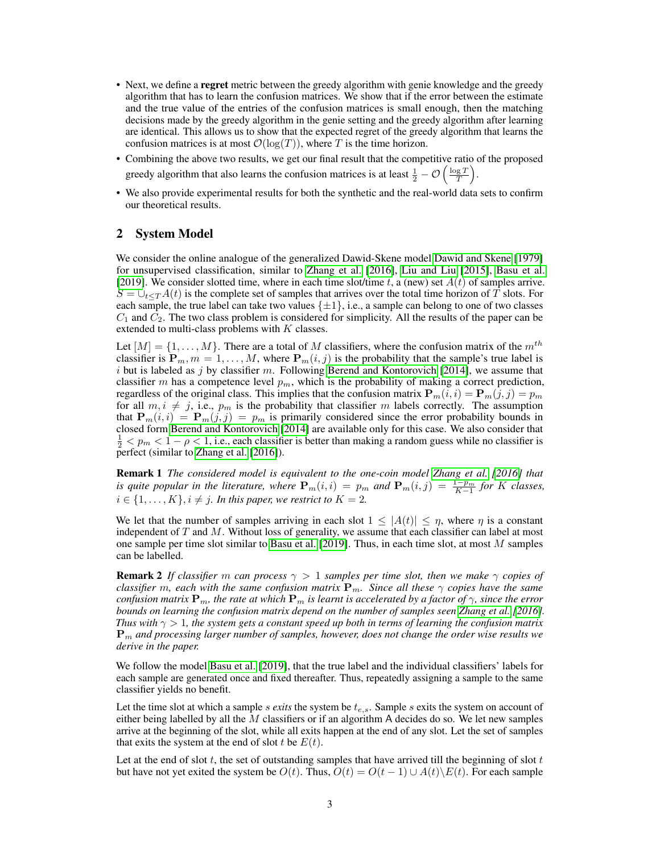- Next, we define a **regret** metric between the greedy algorithm with genie knowledge and the greedy algorithm that has to learn the confusion matrices. We show that if the error between the estimate and the true value of the entries of the confusion matrices is small enough, then the matching decisions made by the greedy algorithm in the genie setting and the greedy algorithm after learning are identical. This allows us to show that the expected regret of the greedy algorithm that learns the confusion matrices is at most  $\mathcal{O}(\log(T))$ , where T is the time horizon.
- Combining the above two results, we get our final result that the competitive ratio of the proposed greedy algorithm that also learns the confusion matrices is at least  $\frac{1}{2} - \mathcal{O}\left(\frac{\log T}{T}\right)$ .
- We also provide experimental results for both the synthetic and the real-world data sets to confirm our theoretical results.

# 2 System Model

We consider the online analogue of the generalized Dawid-Skene model [Dawid and Skene](#page-9-0) [\[1979\]](#page-9-0) for unsupervised classification, similar to [Zhang et al.](#page-10-3) [\[2016\]](#page-10-3), [Liu and Liu](#page-10-5) [\[2015\]](#page-10-5), [Basu et al.](#page-10-12) [\[2019\]](#page-10-12). We consider slotted time, where in each time slot/time t, a (new) set  $A(t)$  of samples arrive.  $S = \bigcup_{t \leq T} A(t)$  is the complete set of samples that arrives over the total time horizon of T slots. For each sample, the true label can take two values  $\{\pm 1\}$ , i.e., a sample can belong to one of two classes  $C_1$  and  $C_2$ . The two class problem is considered for simplicity. All the results of the paper can be extended to multi-class problems with  $K$  classes.

Let  $[M] = \{1, \ldots, M\}$ . There are a total of M classifiers, where the confusion matrix of the  $m^{th}$ classifier is  $P_m$ ,  $m = 1, ..., M$ , where  $P_m(i, j)$  is the probability that the sample's true label is i but is labeled as j by classifier m. Following [Berend and Kontorovich](#page-10-15) [\[2014\]](#page-10-15), we assume that classifier m has a competence level  $p_m$ , which is the probability of making a correct prediction, regardless of the original class. This implies that the confusion matrix  $P_m(i, i) = P_m(j, j) = p_m$ for all  $m, i \neq j$ , i.e.,  $p_m$  is the probability that classifier m labels correctly. The assumption that  $P_m(i, i) = P_m(j, j) = p_m$  is primarily considered since the error probability bounds in closed form [Berend and Kontorovich](#page-10-15) [\[2014\]](#page-10-15) are available only for this case. We also consider that  $\frac{1}{2} < p_m < 1 - \rho < 1$ , i.e., each classifier is better than making a random guess while no classifier is perfect (similar to [Zhang et al.](#page-10-3) [\[2016\]](#page-10-3)).

Remark 1 *The considered model is equivalent to the one-coin model [Zhang et al.](#page-10-3) [\[2016\]](#page-10-3) that is quite popular in the literature, where*  $P_m(i,i) = p_m$  and  $P_m(i,j) = \frac{1-p_m}{K-1}$  for K classes,  $i \in \{1, \ldots, K\}, i \neq j$ . In this paper, we restrict to  $K = 2$ .

We let that the number of samples arriving in each slot  $1 \leq |A(t)| \leq \eta$ , where  $\eta$  is a constant independent of  $T$  and  $M$ . Without loss of generality, we assume that each classifier can label at most one sample per time slot similar to [Basu et al.](#page-10-12) [\[2019\]](#page-10-12). Thus, in each time slot, at most M samples can be labelled.

<span id="page-2-0"></span>**Remark 2** *If classifier* m *can process*  $\gamma > 1$  *samples per time slot, then we make*  $\gamma$  *copies of classifier* m, each with the same confusion matrix  $P_m$ . Since all these  $\gamma$  copies have the same *confusion matrix*  $P_m$ *, the rate at which*  $P_m$  *is learnt is accelerated by a factor of*  $\gamma$ *, since the error bounds on learning the confusion matrix depend on the number of samples seen [Zhang et al.](#page-10-3) [\[2016\]](#page-10-3). Thus with*  $\gamma > 1$ *, the system gets a constant speed up both in terms of learning the confusion matrix*  ${\bf P}_m$  and processing larger number of samples, however, does not change the order wise results we *derive in the paper.*

We follow the model [Basu et al.](#page-10-12) [\[2019\]](#page-10-12), that the true label and the individual classifiers' labels for each sample are generated once and fixed thereafter. Thus, repeatedly assigning a sample to the same classifier yields no benefit.

Let the time slot at which a sample *s exits* the system be  $t_{e,s}$ . Sample *s* exits the system on account of either being labelled by all the  $M$  classifiers or if an algorithm A decides do so. We let new samples arrive at the beginning of the slot, while all exits happen at the end of any slot. Let the set of samples that exits the system at the end of slot t be  $E(t)$ .

Let at the end of slot  $t$ , the set of outstanding samples that have arrived till the beginning of slot  $t$ but have not yet exited the system be  $O(t)$ . Thus,  $O(t) = O(t-1) \cup A(t) \setminus E(t)$ . For each sample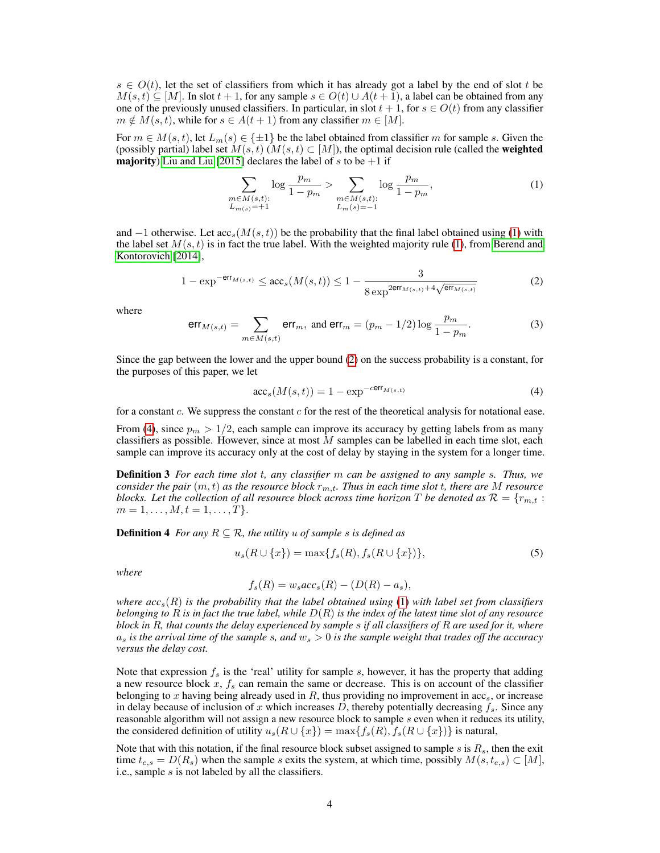$s \in O(t)$ , let the set of classifiers from which it has already got a label by the end of slot t be  $M(s, t) \subseteq [M]$ . In slot  $t + 1$ , for any sample  $s \in O(t) \cup A(t + 1)$ , a label can be obtained from any one of the previously unused classifiers. In particular, in slot  $t + 1$ , for  $s \in O(t)$  from any classifier  $m \notin M(s, t)$ , while for  $s \in A(t + 1)$  from any classifier  $m \in [M]$ .

For  $m \in M(s,t)$ , let  $L_m(s) \in \{\pm 1\}$  be the label obtained from classifier m for sample s. Given the (possibly partial) label set  $M(s, t)$  ( $M(s, t) \subset [M]$ ), the optimal decision rule (called the **weighted majority**) [Liu and Liu](#page-10-5) [\[2015\]](#page-10-5) declares the label of s to be  $+1$  if

<span id="page-3-0"></span>
$$
\sum_{\substack{m \in M(s,t):\\L_{m(s)}=+1}} \log \frac{p_m}{1-p_m} > \sum_{\substack{m \in M(s,t):\\L_m(s)=-1}} \log \frac{p_m}{1-p_m},\tag{1}
$$

and  $-1$  otherwise. Let  $\arccos(M(s, t))$  be the probability that the final label obtained using [\(1\)](#page-3-0) with the label set  $M(s, t)$  is in fact the true label. With the weighted majority rule [\(1\)](#page-3-0), from [Berend and](#page-10-15) [Kontorovich](#page-10-15) [\[2014\]](#page-10-15),

<span id="page-3-1"></span>
$$
1 - \exp^{-\text{err}_{M(s,t)}} \le \text{acc}_s(M(s,t)) \le 1 - \frac{3}{8 \exp^{2\text{err}_{M(s,t)} + 4\sqrt{\text{err}_{M(s,t)}}}}
$$
(2)

where

<span id="page-3-5"></span>
$$
\text{err}_{M(s,t)} = \sum_{m \in M(s,t)} \text{err}_m, \text{ and } \text{err}_m = (p_m - 1/2) \log \frac{p_m}{1 - p_m}.
$$
 (3)

Since the gap between the lower and the upper bound [\(2\)](#page-3-1) on the success probability is a constant, for the purposes of this paper, we let

<span id="page-3-2"></span>
$$
\mathrm{acc}_s(M(s,t)) = 1 - \exp^{-c\mathrm{err}_{M(s,t)}}\tag{4}
$$

for a constant c. We suppress the constant  $c$  for the rest of the theoretical analysis for notational ease.

From [\(4\)](#page-3-2), since  $p_m > 1/2$ , each sample can improve its accuracy by getting labels from as many classifiers as possible. However, since at most  $M$  samples can be labelled in each time slot, each sample can improve its accuracy only at the cost of delay by staying in the system for a longer time.

Definition 3 *For each time slot* t*, any classifier* m *can be assigned to any sample* s*. Thus, we consider the pair*  $(m, t)$  *as the resource block*  $r_{m,t}$ *. Thus in each time slot t, there are* M *resource blocks. Let the collection of all resource block across time horizon* T *be denoted as*  $\mathcal{R} = \{r_{m,t} :$  $m = 1, \ldots, M, t = 1, \ldots, T$ .

<span id="page-3-4"></span>**Definition 4** *For any*  $R \subseteq \mathcal{R}$ *, the utility u of sample s is defined as* 

<span id="page-3-3"></span>
$$
u_s(R \cup \{x\}) = \max\{f_s(R), f_s(R \cup \{x\})\},\tag{5}
$$

*where*

$$
f_s(R) = w_s acc_s(R) - (D(R) - a_s),
$$

*where acc*s(R) *is the probability that the label obtained using* [\(1\)](#page-3-0) *with label set from classifiers belonging to* R *is in fact the true label, while* D(R) *is the index of the latest time slot of any resource block in* R*, that counts the delay experienced by sample* s *if all classifiers of* R *are used for it, where*  $a_s$  *is the arrival time of the sample s, and*  $w_s > 0$  *is the sample weight that trades off the accuracy versus the delay cost.*

Note that expression  $f_s$  is the 'real' utility for sample s, however, it has the property that adding a new resource block  $x$ ,  $f_s$  can remain the same or decrease. This is on account of the classifier belonging to x having being already used in R, thus providing no improvement in  $acc_s$ , or increase in delay because of inclusion of x which increases D, thereby potentially decreasing  $f_s$ . Since any reasonable algorithm will not assign a new resource block to sample  $s$  even when it reduces its utility, the considered definition of utility  $u_s(R \cup \{x\}) = \max\{f_s(R), f_s(R \cup \{x\})\}$  is natural,

Note that with this notation, if the final resource block subset assigned to sample s is  $R_s$ , then the exit time  $t_{e,s} = D(R_s)$  when the sample s exits the system, at which time, possibly  $M(s, t_{e,s}) \subset [M]$ , i.e., sample s is not labeled by all the classifiers.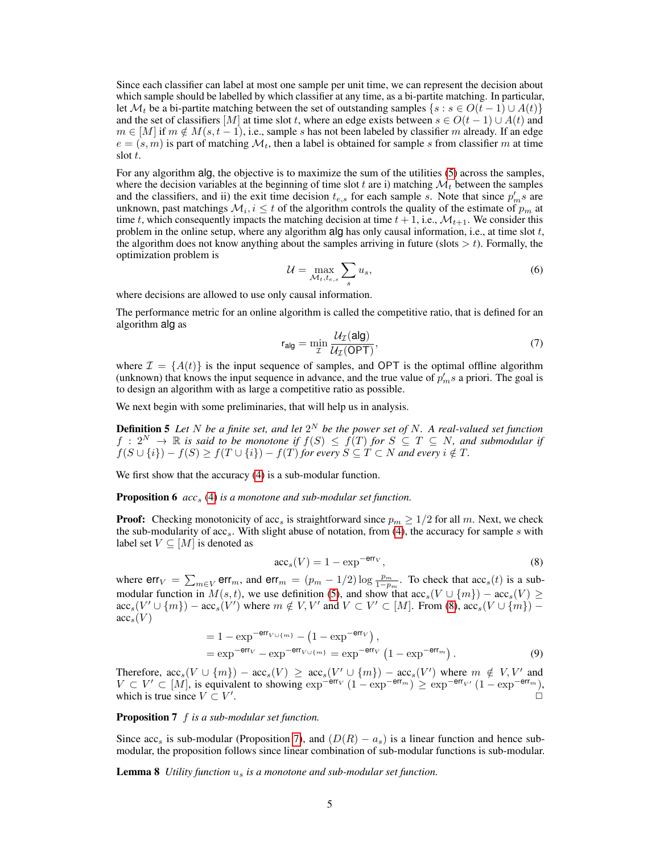Since each classifier can label at most one sample per unit time, we can represent the decision about which sample should be labelled by which classifier at any time, as a bi-partite matching. In particular, let  $\mathcal{M}_t$  be a bi-partite matching between the set of outstanding samples  $\{s : s \in O(t-1) \cup A(t)\}\$ and the set of classifiers [M] at time slot t, where an edge exists between  $s \in O(t-1) \cup A(t)$  and  $m \in [M]$  if  $m \notin M(s, t-1)$ , i.e., sample s has not been labeled by classifier m already. If an edge  $e = (s, m)$  is part of matching  $\mathcal{M}_t$ , then a label is obtained for sample s from classifier m at time slot t.

For any algorithm alg, the objective is to maximize the sum of the utilities [\(5\)](#page-3-3) across the samples, where the decision variables at the beginning of time slot t are i) matching  $\mathcal{M}_t$  between the samples and the classifiers, and ii) the exit time decision  $t_{e,s}$  for each sample s. Note that since  $p'_m s$  are unknown, past matchings  $\mathcal{M}_i$ ,  $i \leq t$  of the algorithm controls the quality of the estimate of  $p_m$  at time t, which consequently impacts the matching decision at time  $t + 1$ , i.e.,  $\mathcal{M}_{t+1}$ . We consider this problem in the online setup, where any algorithm alg has only causal information, i.e., at time slot  $t$ , the algorithm does not know anything about the samples arriving in future (slots  $> t$ ). Formally, the optimization problem is

$$
\mathcal{U} = \max_{\mathcal{M}_t, t_{e,s}} \sum_s u_s,\tag{6}
$$

where decisions are allowed to use only causal information.

The performance metric for an online algorithm is called the competitive ratio, that is defined for an algorithm alg as

$$
r_{\text{alg}} = \min_{\mathcal{I}} \frac{\mathcal{U}_{\mathcal{I}}(\text{alg})}{\mathcal{U}_{\mathcal{I}}(\text{OPT})},\tag{7}
$$

where  $\mathcal{I} = \{A(t)\}\$ is the input sequence of samples, and OPT is the optimal offline algorithm (unknown) that knows the input sequence in advance, and the true value of  $p'_m s$  a priori. The goal is to design an algorithm with as large a competitive ratio as possible.

<span id="page-4-0"></span>We next begin with some preliminaries, that will help us in analysis.

**Definition 5** Let N be a finite set, and let  $2^N$  be the power set of N. A real-valued set function  $f: 2^N \to \mathbb{R}$  is said to be monotone if  $f(S) \leq f(T)$  for  $S \subseteq T \subseteq N$ , and submodular if  $f(S \cup \{i\}) - f(S) \ge f(T \cup \{i\}) - f(T)$  for every  $S \subseteq T \subset N$  and every  $i \notin T$ .

<span id="page-4-3"></span>We first show that the accuracy [\(4\)](#page-3-4) is a sub-modular function.

**Proposition 6** *acc<sub>s</sub>* [\(4\)](#page-3-2) *is a monotone and sub-modular set function.* 

**Proof:** Checking monotonicity of acc<sub>s</sub> is straightforward since  $p_m \geq 1/2$  for all m. Next, we check the sub-modularity of  $\mathrm{acc}_s$ . With slight abuse of notation, from [\(4\)](#page-3-2), the accuracy for sample s with label set  $V \subseteq [M]$  is denoted as

<span id="page-4-2"></span><span id="page-4-1"></span>
$$
\operatorname{acc}_s(V) = 1 - \exp^{-\operatorname{err}_V},\tag{8}
$$

where  $err_V = \sum_{m \in V} err_m$ , and  $err_m = (p_m - 1/2) \log \frac{p_m}{1-p_m}$ . To check that  $acc_s(t)$  is a submodular function in  $M(s, t)$ , we use definition [\(5\)](#page-4-0), and show that  $\mathrm{acc}_s(V \cup \{m\}) - \mathrm{acc}_s(V) \geq$  $\mathrm{acc}_s(V' \cup \{m\}) - \mathrm{acc}_s(V')$  where  $m \notin V, V'$  and  $V \subset V' \subset [M]$ . From [\(8\)](#page-4-1),  $\mathrm{acc}_s(V \cup \{m\})$  –  $\mathrm{acc}_s(V)$ 

$$
= 1 - \exp^{-\text{err}_{V \cup \{m\}}} - \left(1 - \exp^{-\text{err}_{V}}\right),
$$
  
= 
$$
\exp^{-\text{err}_{V}} - \exp^{-\text{err}_{V \cup \{m\}}} = \exp^{-\text{err}_{V}} \left(1 - \exp^{-\text{err}_{m}}\right).
$$
 (9)

Therefore,  $\mathrm{acc}_s(V \cup \{m\}) - \mathrm{acc}_s(V) \geq \mathrm{acc}_s(V' \cup \{m\}) - \mathrm{acc}_s(V')$  where  $m \notin V, V'$  and  $V \subset V' \subset [M]$ , is equivalent to showing  $\exp^{-\textsf{err}_{V}}(1 - \exp^{-\textsf{err}_{m}}) \geq \exp^{-\textsf{err}_{V'}}(1 - \exp^{-\textsf{err}_{m}})$ , which is true since  $V \subset V'$ . The contract of the contract of the contract of the contract of the contract of the contract of the contract of the contract of the contract of the contract of the contract of the contract of the contract of the contrac

Proposition 7 f *is a sub-modular set function.*

Since acc<sub>s</sub> is sub-modular (Proposition [7\)](#page-4-2), and  $(D(R) - a_s)$  is a linear function and hence submodular, the proposition follows since linear combination of sub-modular functions is sub-modular.

Lemma 8 *Utility function* u<sup>s</sup> *is a monotone and sub-modular set function.*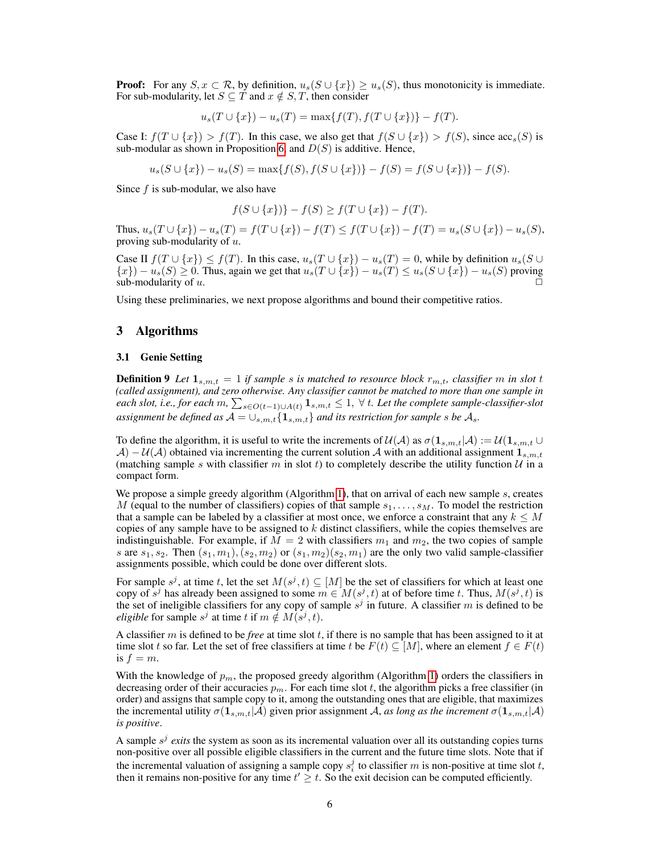**Proof:** For any  $S, x \subset \mathcal{R}$ , by definition,  $u_s(S \cup \{x\}) \ge u_s(S)$ , thus monotonicity is immediate. For sub-modularity, let  $S \subseteq T$  and  $x \notin S, T$ , then consider

$$
u_s(T \cup \{x\}) - u_s(T) = \max\{f(T), f(T \cup \{x\})\} - f(T).
$$

Case I:  $f(T \cup \{x\}) > f(T)$ . In this case, we also get that  $f(S \cup \{x\}) > f(S)$ , since  $\operatorname{acc}_s(S)$  is sub-modular as shown in Proposition [6,](#page-4-3) and  $D(S)$  is additive. Hence,

$$
u_s(S \cup \{x\}) - u_s(S) = \max\{f(S), f(S \cup \{x\})\} - f(S) = f(S \cup \{x\}) - f(S).
$$

Since  $f$  is sub-modular, we also have

$$
f(S \cup \{x\}) - f(S) \ge f(T \cup \{x\}) - f(T).
$$

Thus,  $u_s(T \cup \{x\}) - u_s(T) = f(T \cup \{x\}) - f(T) \leq f(T \cup \{x\}) - f(T) = u_s(S \cup \{x\}) - u_s(S)$ , proving sub-modularity of  $u$ .

Case II  $f(T \cup \{x\}) \le f(T)$ . In this case,  $u_s(T \cup \{x\}) - u_s(T) = 0$ , while by definition  $u_s(S \cup$  ${x}$ ) –  $u_s(S) \ge 0$ . Thus, again we get that  $u_s(T \cup \{x\}) - u_s(T) \le u_s(S \cup \{x\}) - u_s(S)$  proving sub-modularity of  $u$ .

Using these preliminaries, we next propose algorithms and bound their competitive ratios.

# 3 Algorithms

#### 3.1 Genie Setting

**Definition 9** Let  $\mathbf{1}_{s,m,t} = 1$  *if sample s is matched to resource block*  $r_{m,t}$ *, classifier* m *in slot* t *(called assignment), and zero otherwise. Any classifier cannot be matched to more than one sample in* each slot, i.e., for each  $m$ ,  $\sum_{s \in O(t-1) \cup A(t)} \mathbf{1}_{s,m,t} \leq 1, \ \forall \ t.$  Let the complete sample-classifier-slot assignment be defined as  $A = \cup_{s,m,t} \{1_{s,m,t}\}\$  and its restriction for sample s be  $\mathcal{A}_s$ .

To define the algorithm, it is useful to write the increments of  $\mathcal{U}(\mathcal{A})$  as  $\sigma(1_{s,m,t}|\mathcal{A}) := \mathcal{U}(1_{s,m,t} \cup$  $\mathcal{A}$ ) − U( $\mathcal{A}$ ) obtained via incrementing the current solution  $\mathcal{A}$  with an additional assignment  $\mathbf{1}_{s,m,t}$ (matching sample s with classifier m in slot t) to completely describe the utility function  $\mathcal{U}$  in a compact form.

We propose a simple greedy algorithm (Algorithm [1\)](#page-6-0), that on arrival of each new sample  $s$ , creates M (equal to the number of classifiers) copies of that sample  $s_1, \ldots, s_M$ . To model the restriction that a sample can be labeled by a classifier at most once, we enforce a constraint that any  $k \leq M$ copies of any sample have to be assigned to  $k$  distinct classifiers, while the copies themselves are indistinguishable. For example, if  $M = 2$  with classifiers  $m_1$  and  $m_2$ , the two copies of sample s are  $s_1, s_2$ . Then  $(s_1, m_1), (s_2, m_2)$  or  $(s_1, m_2)(s_2, m_1)$  are the only two valid sample-classifier assignments possible, which could be done over different slots.

For sample  $s^j$ , at time t, let the set  $M(s^j, t) \subseteq [M]$  be the set of classifiers for which at least one copy of  $s^j$  has already been assigned to some  $m \in M(s^j, t)$  at of before time t. Thus,  $M(s^j, t)$  is the set of ineligible classifiers for any copy of sample  $s^j$  in future. A classifier m is defined to be *eligible* for sample  $s^j$  at time t if  $m \notin M(s^j, t)$ .

A classifier  $m$  is defined to be *free* at time slot  $t$ , if there is no sample that has been assigned to it at time slot t so far. Let the set of free classifiers at time t be  $F(t) \subseteq [M]$ , where an element  $f \in F(t)$ is  $f = m$ .

With the knowledge of  $p_m$ , the proposed greedy algorithm (Algorithm [1\)](#page-6-0) orders the classifiers in decreasing order of their accuracies  $p_m$ . For each time slot t, the algorithm picks a free classifier (in order) and assigns that sample copy to it, among the outstanding ones that are eligible, that maximizes the incremental utility  $\sigma(1_{s,m,t}|\mathcal{A})$  given prior assignment A, *as long as the increment*  $\sigma(1_{s,m,t}|\mathcal{A})$ *is positive*.

<span id="page-5-0"></span>A sample  $s^j$  exits the system as soon as its incremental valuation over all its outstanding copies turns non-positive over all possible eligible classifiers in the current and the future time slots. Note that if the incremental valuation of assigning a sample copy  $s_i^j$  to classifier m is non-positive at time slot t, then it remains non-positive for any time  $t' \geq t$ . So the exit decision can be computed efficiently.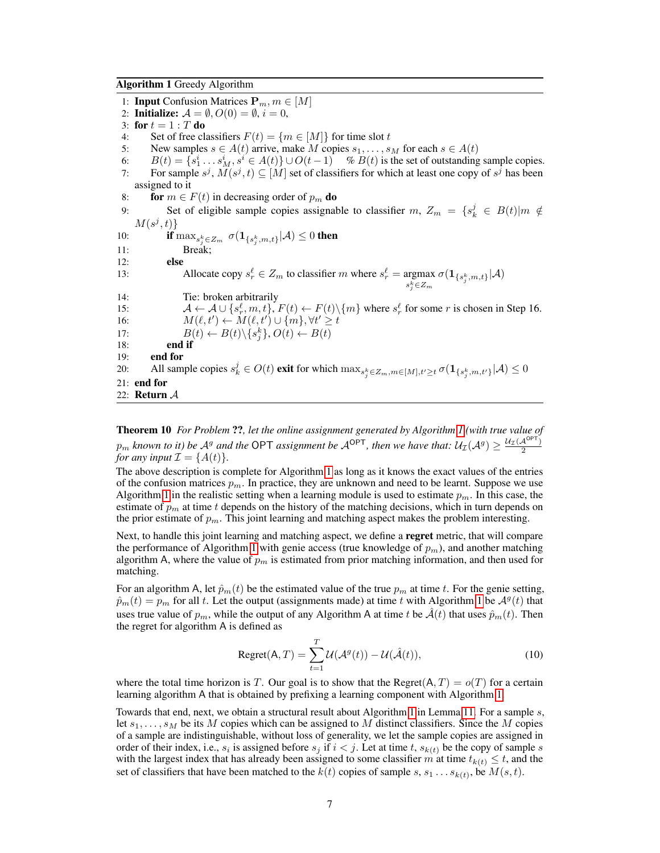<span id="page-6-0"></span>Algorithm 1 Greedy Algorithm

1: **Input** Confusion Matrices  $P_m, m \in [M]$ 2: **Initialize:**  $\mathcal{A} = \emptyset$ ,  $O(0) = \emptyset$ ,  $i = 0$ , 3: for  $t = 1 : T$  do 4: Set of free classifiers  $F(t) = \{m \in [M]\}$  for time slot t<br>5: New samples  $s \in A(t)$  arrive, make M copies  $s_1, \ldots, s_n$ New samples  $s \in A(t)$  arrive, make M copies  $s_1, \ldots, s_M$  for each  $s \in A(t)$ 6:  $B(t) = \{s_1^i \dots s_M^i, s^i \in A(t)\} \cup O(t-1)$  %  $B(t)$  is the set of outstanding sample copies. 7: For sample  $s^j$ ,  $M(s^j, t) \subseteq [M]$  set of classifiers for which at least one copy of  $s^j$  has been assigned to it 8: for  $m \in F(t)$  in decreasing order of  $p_m$  do 9: Set of eligible sample copies assignable to classifier  $m$ ,  $Z_m = \{s_k^j \in B(t) | m \notin \mathbb{R}^d\}$  $M(s^j,t)\}$ 10: **if**  $\max_{s_j^k \in Z_m} \sigma(\mathbf{1}_{\{s_j^k, m, t\}} | \mathcal{A}) \leq 0$  **then** 11: Break; 12: else 13: Allocate copy  $s_r^{\ell} \in Z_m$  to classifier m where  $s_r^{\ell} = \underset{s_j^k \in Z_m}{\operatorname{argmax}}$  $\sigma(\mathbf{1}_{\{s_j^k,m,t\}}|\mathcal{A})$ 14: Tie: broken arbitrarily 15:  $A \leftarrow A \cup \{s_r^{\ell}, m, t\}, F(t) \leftarrow F(t) \setminus \{m\}$  where  $s_r^{\ell}$  for some r is chosen in Step 16. 16:  $M(\ell, t') \leftarrow M(\ell, t') \cup \{m\}, \forall t' \geq t$ 17:  $B(t) \leftarrow B(t) \setminus \{s_j^k\}, O(t) \leftarrow B(t)$ 18: end if 19: end for 20: All sample copies  $s_k^j \in O(t)$  exit for which  $\max_{s_j^k \in Z_m, m \in [M], t' \ge t} \sigma(\mathbf{1}_{\{s_j^k, m, t'\}} | \mathcal{A}) \le 0$ 21: end for 22: Return A

Theorem 10 *For Problem* ??*, let the online assignment generated by Algorithm [1](#page-6-0) (with true value of*  $p_m$  known to it) be  $A^g$  and the OPT assignment be  $A^{OPT}$ , then we have that:  $U_{\mathcal{I}}(A^g) \geq \frac{U_{\mathcal{I}}(A^{OPT})}{2}$ *for any input*  $\mathcal{I} = \{A(t)\}.$ 

The above description is complete for Algorithm [1](#page-6-0) as long as it knows the exact values of the entries of the confusion matrices  $p_m$ . In practice, they are unknown and need to be learnt. Suppose we use Algorithm [1](#page-6-0) in the realistic setting when a learning module is used to estimate  $p_m$ . In this case, the estimate of  $p_m$  at time t depends on the history of the matching decisions, which in turn depends on the prior estimate of  $p_m$ . This joint learning and matching aspect makes the problem interesting.

Next, to handle this joint learning and matching aspect, we define a regret metric, that will compare the performance of Algorithm [1](#page-6-0) with genie access (true knowledge of  $p_m$ ), and another matching algorithm A, where the value of  $p_m$  is estimated from prior matching information, and then used for matching.

For an algorithm A, let  $\hat{p}_m(t)$  be the estimated value of the true  $p_m$  at time t. For the genie setting,  $\hat{p}_m(t) = p_m$  for all t. Let the output (assignments made) at time t with Algorithm [1](#page-6-0) be  $\mathcal{A}^g(t)$  that uses true value of  $p_m$ , while the output of any Algorithm A at time t be  $\mathcal{A}(t)$  that uses  $\hat{p}_m(t)$ . Then the regret for algorithm A is defined as

<span id="page-6-1"></span>
$$
Regret(A, T) = \sum_{t=1}^{T} \mathcal{U}(\mathcal{A}^g(t)) - \mathcal{U}(\hat{\mathcal{A}}(t)),
$$
\n(10)

where the total time horizon is T. Our goal is to show that the Regret(A,  $T$ ) =  $o(T)$  for a certain learning algorithm A that is obtained by prefixing a learning component with Algorithm [1.](#page-6-0)

Towards that end, next, we obtain a structural result about Algorithm [1](#page-6-0) in Lemma [11.](#page-7-0) For a sample s, let  $s_1, \ldots, s_M$  be its M copies which can be assigned to M distinct classifiers. Since the M copies of a sample are indistinguishable, without loss of generality, we let the sample copies are assigned in order of their index, i.e.,  $s_i$  is assigned before  $s_j$  if  $i < j$ . Let at time t,  $s_{k(t)}$  be the copy of sample s with the largest index that has already been assigned to some classifier m at time  $t_{k(t)} \leq t$ , and the set of classifiers that have been matched to the  $k(t)$  copies of sample  $s, s_1 \ldots s_{k(t)}$ , be  $M(s, t)$ .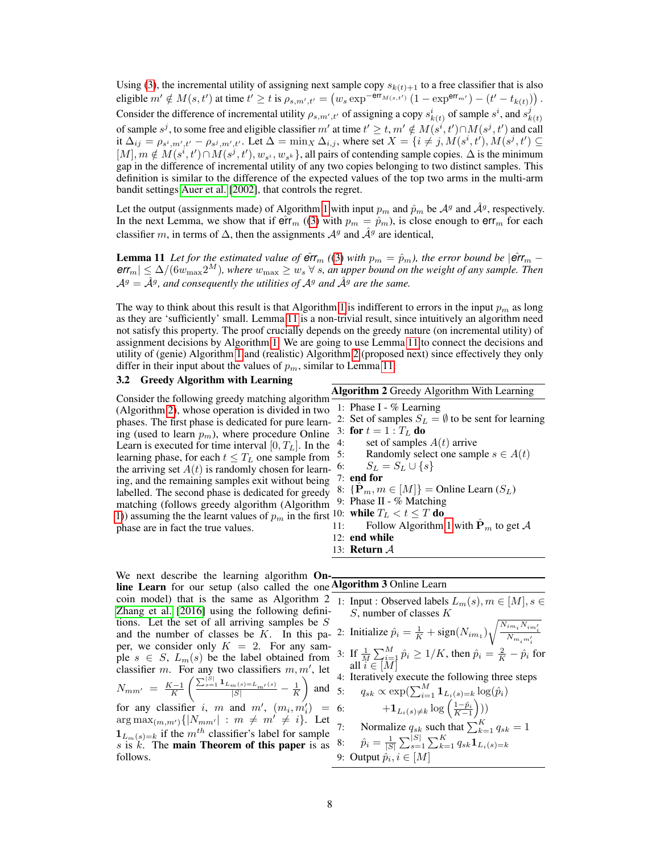Using [\(3\)](#page-3-5), the incremental utility of assigning next sample copy  $s_{k(t)+1}$  to a free classifier that is also eligible  $m' \notin M(s, t')$  at time  $t' \ge t$  is  $\rho_{s,m',t'} = (w_s \exp^{-\text{err}_{M(s, t')}} (1 - \exp^{\text{err}_{m'}}) - (t' - t_{k(t)}))$ . Consider the difference of incremental utility  $\rho_{s,m',t'}$  of assigning a copy  $s^i_{k(t)}$  of sample  $s^i$ , and  $s^j_k$  $k(t)$ of sample  $s^j$ , to some free and eligible classifier m' at time  $t' \ge t$ ,  $m' \notin M(s^i, t') \cap M(s^j, t')$  and call it  $\Delta_{ij} = \rho_{s^i,m',t'} - \rho_{s^j,m',t'}$ . Let  $\Delta = \min_X \Delta_{i,j}$ , where set  $X = \{i \neq j, M(s^i, t'), M(s^j, t') \subseteq$  $[M], m \notin M(s^i, t') \cap M(s^j, t'), w_{s^i}, w_{s^k}$ , all pairs of contending sample copies.  $\Delta$  is the minimum gap in the difference of incremental utility of any two copies belonging to two distinct samples. This definition is similar to the difference of the expected values of the top two arms in the multi-arm bandit settings [Auer et al.](#page-10-16) [\[2002\]](#page-10-16), that controls the regret.

Let the output (assignments made) of Algorithm [1](#page-6-0) with input  $p_m$  and  $\hat{p}_m$  be  $\mathcal{A}^g$  and  $\hat{\mathcal{A}}^g$ , respectively. In the next Lemma, we show that if  $\hat{\text{err}}_m$  ([\(3\)](#page-3-5) with  $p_m = \hat{p}_m$ ), is close enough to  $\text{err}_m$  for each classifier m, in terms of  $\Delta$ , then the assignments  $\mathcal{A}^g$  and  $\hat{\mathcal{A}}^g$  are identical,

**Lemma 11** Let for the estimated value of  $\hat{\mathbf{e}}$ rr<sub>m</sub> ([\(3\)](#page-3-5) with  $p_m = \hat{p}_m$ ), the error bound be  $|\hat{\mathbf{e}}$ rr<sub>m</sub> –  $err_m| \leq \Delta/(6w_{\text{max}} 2^M)$ , where  $w_{\text{max}} \geq w_s \,\forall s$ , an upper bound on the weight of any sample. Then  $A<sup>g</sup> = \hat{A}<sup>g</sup>$ , and consequently the utilities of  $A<sup>g</sup>$  and  $\hat{A}<sup>g</sup>$  are the same.

The way to think about this result is that Algorithm [1](#page-6-0) is indifferent to errors in the input  $p_m$  as long as they are 'sufficiently' small. Lemma [11](#page-7-0) is a non-trivial result, since intuitively an algorithm need not satisfy this property. The proof crucially depends on the greedy nature (on incremental utility) of assignment decisions by Algorithm [1.](#page-6-0) We are going to use Lemma [11](#page-7-0) to connect the decisions and utility of (genie) Algorithm [1](#page-6-0) and (realistic) Algorithm [2](#page-7-1) (proposed next) since effectively they only differ in their input about the values of  $p_m$ , similar to Lemma [11.](#page-7-0)

## 3.2 Greedy Algorithm with Learning

Consider the following greedy matching algorithm (Algorithm [2\)](#page-7-1), whose operation is divided in two phases. The first phase is dedicated for pure learning (used to learn  $p_m$ ), where procedure Online 3: for  $t = 1 : T_L$  do Learn is executed for time interval  $[0, T<sub>L</sub>]$ . In the <sup>4:</sup> learning phase, for each  $t \leq T_L$  one sample from <sup>5:</sup> the arriving set  $A(t)$  is randomly chosen for learn- <sup>6:</sup> ing, and the remaining samples exit without being labelled. The second phase is dedicated for greedy matching (follows greedy algorithm (Algorithm [1\)](#page-6-0)) assuming the the learnt values of  $p_m$  in the first <sup>10:</sup> while  $T_L < t \leq T$  do phase are in fact the true values.

<span id="page-7-1"></span><span id="page-7-0"></span>Algorithm 2 Greedy Algorithm With Learning

- 1: Phase I % Learning
- 2: Set of samples  $S_L = \emptyset$  to be sent for learning
- set of samples  $A(t)$  arrive
- Randomly select one sample  $s \in A(t)$
- $S_L = S_L \cup \{s\}$
- 7: end for
- 8:  $\{\mathbf P_m, m \in [M]\} = \text{Online Learn}(S_L)$
- 9: Phase II % Matching
- 
- 11: Follow Algorithm [1](#page-6-0) with  $\hat{\mathbf{P}}_m$  to get A
- 12: end while
- 13: Return A

<span id="page-7-2"></span>We next describe the learning algorithm On-line Learn for our setup (also called the one coin model) that is the same as Algorithm 2 [Zhang et al.](#page-10-3) [\[2016\]](#page-10-3) using the following definitions. Let the set of all arriving samples be S and the number of classes be  $K$ . In this paper, we consider only  $K = 2$ . For any sample  $s \in S$ ,  $L_m(s)$  be the label obtained from classifier m. For any two classifiers  $m, m'$ , let  $N_{mm'} = \frac{K-1}{K}$  $\left( \frac{\sum_{s=1}^{|S|} \mathbf{1}_{L_m(s) = L_{m'}(s)}}{|S|} - \frac{1}{K} \right)$ ) and for any classifier i, m and  $m'$ ,  $(m_i, m'_i)$  =  $\arg \max_{(m,m')} \{ |N_{mm'}| : m \neq m' \neq i \}.$  Let  $1_{L_m(s)=k}$  if the  $m^{th}$  classifier's label for sample s is  $k$ . The main Theorem of this paper is as follows.

**Algorithm 3** Online Learn  
\n1: Input : Observed labels 
$$
L_m(s), m \in [M], s \in
$$
  
\n*S*, number of classes *K*  
\n2: Initialize  $\hat{p}_i = \frac{1}{K} + sign(N_{im_1}) \sqrt{\frac{N_{im_i} N_{im'_i}}{N_{m_im'_i}}}$   
\n3: If  $\frac{1}{M} \sum_{i=1}^{M} \hat{p}_i \ge 1/K$ , then  $\hat{p}_i = \frac{2}{K} - \hat{p}_i$  for  
\nall  $i \in [M]$   
\n4: Iteratively execute the following three steps  
\n5:  $q_{sk} \propto \exp(\sum_{i=1}^{M} \mathbf{1}_{L_i(s)=k} \log(\hat{p}_i))$   
\n6:  $+ \mathbf{1}_{L_i(s) \ne k} \log \left(\frac{1-\hat{p}_i}{K-1}\right))$   
\n7: Normalize  $q_{sk}$  such that  $\sum_{k=1}^{K} q_{sk} = 1$   
\n8:  $\hat{p}_i = \frac{1}{|S|} \sum_{s=1}^{|S|} \sum_{k=1}^{K} q_{sk} \mathbf{1}_{L_i(s)=k}$   
\n9: Output  $\hat{p}_i, i \in [M]$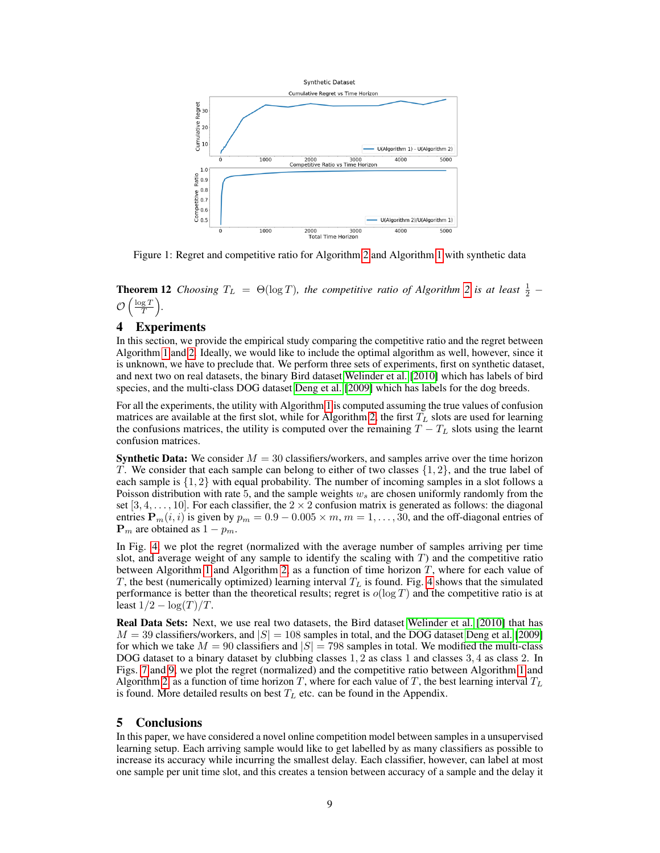

Figure 1: Regret and competitive ratio for Algorithm [2](#page-7-1) and Algorithm [1](#page-6-0) with synthetic data

**Theorem 12** *Choosing*  $T_L = \Theta(\log T)$ *, the competitive ratio of Algorithm* [2](#page-7-1) *is at least*  $\frac{1}{2}$  –  $\mathcal{O}\left(\frac{\log T}{T}\right)$ .

# 4 Experiments

In this section, we provide the empirical study comparing the competitive ratio and the regret between Algorithm [1](#page-6-0) and [2.](#page-7-1) Ideally, we would like to include the optimal algorithm as well, however, since it is unknown, we have to preclude that. We perform three sets of experiments, first on synthetic dataset, and next two on real datasets, the binary Bird dataset [Welinder et al.](#page-10-17) [\[2010\]](#page-10-17) which has labels of bird species, and the multi-class DOG dataset [Deng et al.](#page-10-18) [\[2009\]](#page-10-18) which has labels for the dog breeds.

For all the experiments, the utility with Algorithm [1](#page-6-0) is computed assuming the true values of confusion matrices are available at the first slot, while for Algorithm [2,](#page-7-1) the first  $T_L$  slots are used for learning the confusions matrices, the utility is computed over the remaining  $T - T<sub>L</sub>$  slots using the learnt confusion matrices.

**Synthetic Data:** We consider  $M = 30$  classifiers/workers, and samples arrive over the time horizon T. We consider that each sample can belong to either of two classes  $\{1, 2\}$ , and the true label of each sample is  $\{1, 2\}$  with equal probability. The number of incoming samples in a slot follows a Poisson distribution with rate 5, and the sample weights  $w_s$  are chosen uniformly randomly from the set [3, 4, . . . , 10]. For each classifier, the  $2 \times 2$  confusion matrix is generated as follows: the diagonal entries  $\mathbf{P}_m(i, i)$  is given by  $p_m = 0.9 - 0.005 \times m$ ,  $m = 1, \dots, 30$ , and the off-diagonal entries of  ${\bf P}_m$  are obtained as  $1 - p_m$ .

In Fig. [4,](#page-16-0) we plot the regret (normalized with the average number of samples arriving per time slot, and average weight of any sample to identify the scaling with  $T$ ) and the competitive ratio between Algorithm [1](#page-6-0) and Algorithm [2,](#page-7-1) as a function of time horizon  $T$ , where for each value of T, the best (numerically optimized) learning interval  $T<sub>L</sub>$  is found. Fig. [4](#page-16-0) shows that the simulated performance is better than the theoretical results; regret is  $o(\log T)$  and the competitive ratio is at least  $1/2 - \log(T)/T$ .

Real Data Sets: Next, we use real two datasets, the Bird dataset [Welinder et al.](#page-10-17) [\[2010\]](#page-10-17) that has  $M = 39$  classifiers/workers, and  $|S| = 108$  samples in total, and the DOG dataset [Deng et al.](#page-10-18) [\[2009\]](#page-10-18) for which we take  $M = 90$  classifiers and  $|S| = 798$  samples in total. We modified the multi-class DOG dataset to a binary dataset by clubbing classes 1, 2 as class 1 and classes 3, 4 as class 2. In Figs. [7](#page-17-0) and [9,](#page-18-0) we plot the regret (normalized) and the competitive ratio between Algorithm [1](#page-6-0) and Algorithm [2,](#page-7-1) as a function of time horizon T, where for each value of T, the best learning interval  $T_L$ is found. More detailed results on best  $T_L$  etc. can be found in the Appendix.

## 5 Conclusions

In this paper, we have considered a novel online competition model between samples in a unsupervised learning setup. Each arriving sample would like to get labelled by as many classifiers as possible to increase its accuracy while incurring the smallest delay. Each classifier, however, can label at most one sample per unit time slot, and this creates a tension between accuracy of a sample and the delay it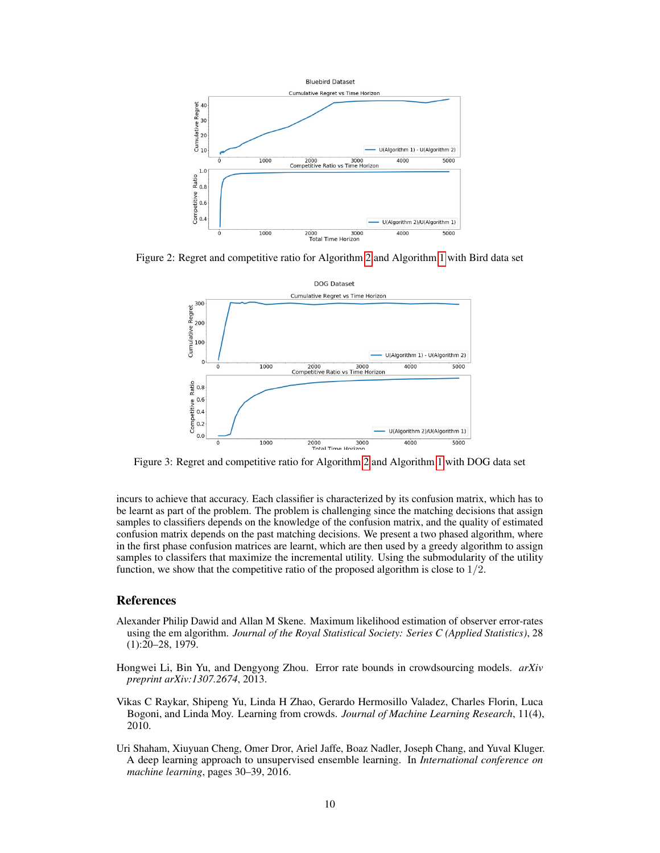

Figure 2: Regret and competitive ratio for Algorithm [2](#page-7-1) and Algorithm [1](#page-6-0) with Bird data set



Figure 3: Regret and competitive ratio for Algorithm [2](#page-7-1) and Algorithm [1](#page-6-0) with DOG data set

incurs to achieve that accuracy. Each classifier is characterized by its confusion matrix, which has to be learnt as part of the problem. The problem is challenging since the matching decisions that assign samples to classifiers depends on the knowledge of the confusion matrix, and the quality of estimated confusion matrix depends on the past matching decisions. We present a two phased algorithm, where in the first phase confusion matrices are learnt, which are then used by a greedy algorithm to assign samples to classifers that maximize the incremental utility. Using the submodularity of the utility function, we show that the competitive ratio of the proposed algorithm is close to  $1/2$ .

# References

- <span id="page-9-0"></span>Alexander Philip Dawid and Allan M Skene. Maximum likelihood estimation of observer error-rates using the em algorithm. *Journal of the Royal Statistical Society: Series C (Applied Statistics)*, 28 (1):20–28, 1979.
- <span id="page-9-1"></span>Hongwei Li, Bin Yu, and Dengyong Zhou. Error rate bounds in crowdsourcing models. *arXiv preprint arXiv:1307.2674*, 2013.
- <span id="page-9-2"></span>Vikas C Raykar, Shipeng Yu, Linda H Zhao, Gerardo Hermosillo Valadez, Charles Florin, Luca Bogoni, and Linda Moy. Learning from crowds. *Journal of Machine Learning Research*, 11(4), 2010.
- <span id="page-9-3"></span>Uri Shaham, Xiuyuan Cheng, Omer Dror, Ariel Jaffe, Boaz Nadler, Joseph Chang, and Yuval Kluger. A deep learning approach to unsupervised ensemble learning. In *International conference on machine learning*, pages 30–39, 2016.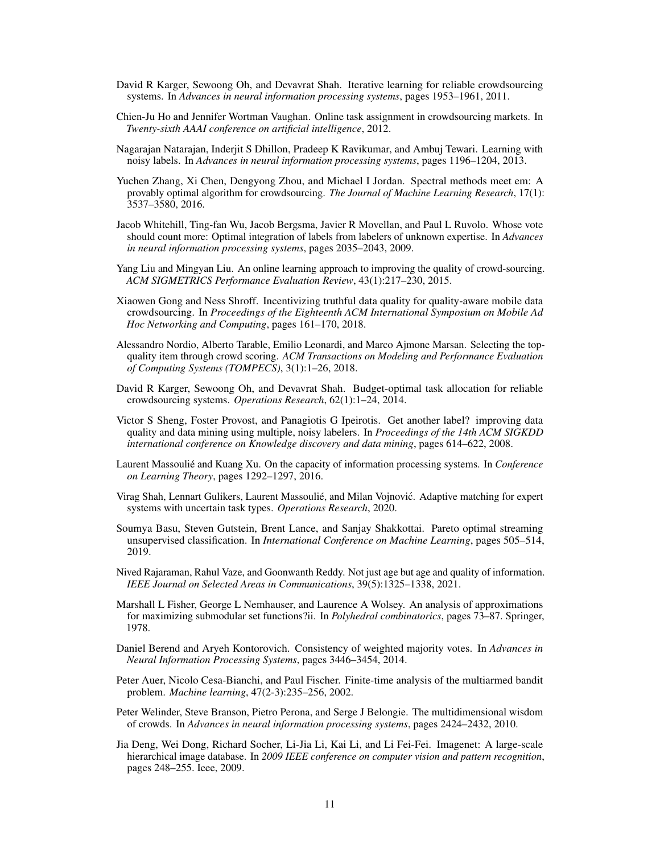- <span id="page-10-0"></span>David R Karger, Sewoong Oh, and Devavrat Shah. Iterative learning for reliable crowdsourcing systems. In *Advances in neural information processing systems*, pages 1953–1961, 2011.
- <span id="page-10-1"></span>Chien-Ju Ho and Jennifer Wortman Vaughan. Online task assignment in crowdsourcing markets. In *Twenty-sixth AAAI conference on artificial intelligence*, 2012.
- <span id="page-10-2"></span>Nagarajan Natarajan, Inderjit S Dhillon, Pradeep K Ravikumar, and Ambuj Tewari. Learning with noisy labels. In *Advances in neural information processing systems*, pages 1196–1204, 2013.
- <span id="page-10-3"></span>Yuchen Zhang, Xi Chen, Dengyong Zhou, and Michael I Jordan. Spectral methods meet em: A provably optimal algorithm for crowdsourcing. *The Journal of Machine Learning Research*, 17(1): 3537–3580, 2016.
- <span id="page-10-4"></span>Jacob Whitehill, Ting-fan Wu, Jacob Bergsma, Javier R Movellan, and Paul L Ruvolo. Whose vote should count more: Optimal integration of labels from labelers of unknown expertise. In *Advances in neural information processing systems*, pages 2035–2043, 2009.
- <span id="page-10-5"></span>Yang Liu and Mingyan Liu. An online learning approach to improving the quality of crowd-sourcing. *ACM SIGMETRICS Performance Evaluation Review*, 43(1):217–230, 2015.
- <span id="page-10-6"></span>Xiaowen Gong and Ness Shroff. Incentivizing truthful data quality for quality-aware mobile data crowdsourcing. In *Proceedings of the Eighteenth ACM International Symposium on Mobile Ad Hoc Networking and Computing*, pages 161–170, 2018.
- <span id="page-10-7"></span>Alessandro Nordio, Alberto Tarable, Emilio Leonardi, and Marco Ajmone Marsan. Selecting the topquality item through crowd scoring. *ACM Transactions on Modeling and Performance Evaluation of Computing Systems (TOMPECS)*, 3(1):1–26, 2018.
- <span id="page-10-8"></span>David R Karger, Sewoong Oh, and Devavrat Shah. Budget-optimal task allocation for reliable crowdsourcing systems. *Operations Research*, 62(1):1–24, 2014.
- <span id="page-10-9"></span>Victor S Sheng, Foster Provost, and Panagiotis G Ipeirotis. Get another label? improving data quality and data mining using multiple, noisy labelers. In *Proceedings of the 14th ACM SIGKDD international conference on Knowledge discovery and data mining*, pages 614–622, 2008.
- <span id="page-10-10"></span>Laurent Massoulié and Kuang Xu. On the capacity of information processing systems. In *Conference on Learning Theory*, pages 1292–1297, 2016.
- <span id="page-10-11"></span>Virag Shah, Lennart Gulikers, Laurent Massoulié, and Milan Vojnovic. Adaptive matching for expert ´ systems with uncertain task types. *Operations Research*, 2020.
- <span id="page-10-12"></span>Soumya Basu, Steven Gutstein, Brent Lance, and Sanjay Shakkottai. Pareto optimal streaming unsupervised classification. In *International Conference on Machine Learning*, pages 505–514, 2019.
- <span id="page-10-13"></span>Nived Rajaraman, Rahul Vaze, and Goonwanth Reddy. Not just age but age and quality of information. *IEEE Journal on Selected Areas in Communications*, 39(5):1325–1338, 2021.
- <span id="page-10-14"></span>Marshall L Fisher, George L Nemhauser, and Laurence A Wolsey. An analysis of approximations for maximizing submodular set functions?ii. In *Polyhedral combinatorics*, pages 73–87. Springer, 1978.
- <span id="page-10-15"></span>Daniel Berend and Aryeh Kontorovich. Consistency of weighted majority votes. In *Advances in Neural Information Processing Systems*, pages 3446–3454, 2014.
- <span id="page-10-16"></span>Peter Auer, Nicolo Cesa-Bianchi, and Paul Fischer. Finite-time analysis of the multiarmed bandit problem. *Machine learning*, 47(2-3):235–256, 2002.
- <span id="page-10-17"></span>Peter Welinder, Steve Branson, Pietro Perona, and Serge J Belongie. The multidimensional wisdom of crowds. In *Advances in neural information processing systems*, pages 2424–2432, 2010.
- <span id="page-10-18"></span>Jia Deng, Wei Dong, Richard Socher, Li-Jia Li, Kai Li, and Li Fei-Fei. Imagenet: A large-scale hierarchical image database. In *2009 IEEE conference on computer vision and pattern recognition*, pages 248–255. Ieee, 2009.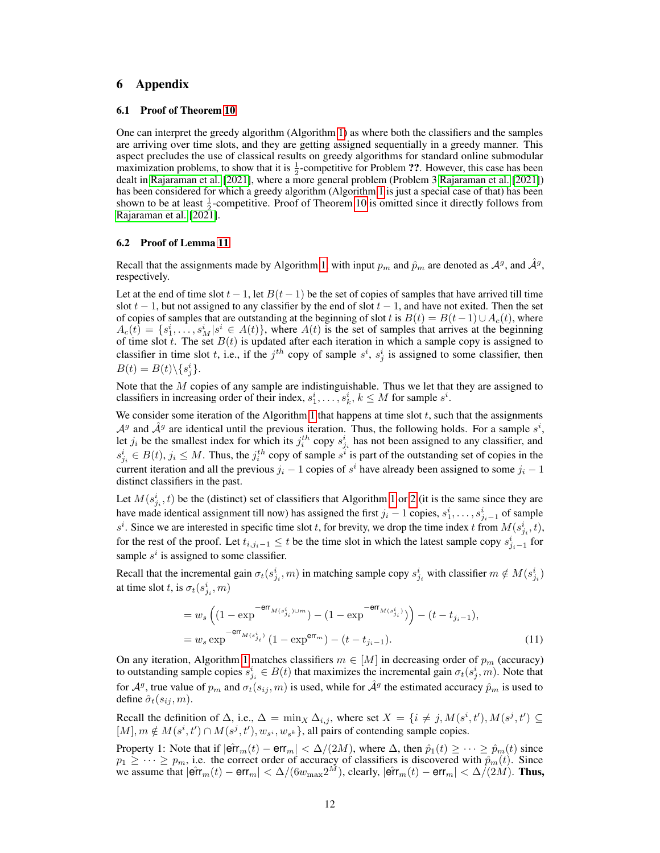# 6 Appendix

#### 6.1 Proof of Theorem [10](#page-5-0)

One can interpret the greedy algorithm (Algorithm [1\)](#page-6-0) as where both the classifiers and the samples are arriving over time slots, and they are getting assigned sequentially in a greedy manner. This aspect precludes the use of classical results on greedy algorithms for standard online submodular maximization problems, to show that it is  $\frac{1}{2}$ -competitive for Problem ??. However, this case has been dealt in [Rajaraman et al.](#page-10-13) [\[2021\]](#page-10-13), where a more general problem (Problem 3 [Rajaraman et al.](#page-10-13) [\[2021\]](#page-10-13)) has been considered for which a greedy algorithm (Algorithm [1](#page-6-0) is just a special case of that) has been shown to be at least  $\frac{1}{2}$ -competitive. Proof of Theorem [10](#page-5-0) is omitted since it directly follows from [Rajaraman et al.](#page-10-13) [\[2021\]](#page-10-13).

#### 6.2 Proof of Lemma [11](#page-7-0)

Recall that the assignments made by Algorithm [1,](#page-6-0) with input  $p_m$  and  $\hat{p}_m$  are denoted as  $\mathcal{A}^g$ , and  $\hat{\mathcal{A}}^g$ , respectively.

Let at the end of time slot  $t - 1$ , let  $B(t - 1)$  be the set of copies of samples that have arrived till time slot  $t - 1$ , but not assigned to any classifier by the end of slot  $t - 1$ , and have not exited. Then the set of copies of samples that are outstanding at the beginning of slot t is  $B(t) = B(t-1) \cup A_c(t)$ , where  $A_c(t) = \{s_1^i, \ldots, s_M^i | s^i \in A(t)\}\$ , where  $A(t)$  is the set of samples that arrives at the beginning of time slot t. The set  $B(t)$  is updated after each iteration in which a sample copy is assigned to classifier in time slot t, i.e., if the  $j<sup>th</sup>$  copy of sample  $s<sup>i</sup>$ ,  $s<sup>i</sup>$  is assigned to some classifier, then  $B(t) = B(t) \setminus \{s_j^i\}.$ 

Note that the  $M$  copies of any sample are indistinguishable. Thus we let that they are assigned to classifiers in increasing order of their index,  $s_1^i, \ldots, s_k^i, k \leq M$  for sample  $s^i$ .

We consider some iteration of the Algorithm [1](#page-6-0) that happens at time slot  $t$ , such that the assignments  $A^g$  and  $\hat{A}^g$  are identical until the previous iteration. Thus, the following holds. For a sample  $s^i$ , let  $j_i$  be the smallest index for which its  $j_i^{th}$  copy  $s_{j_i}^i$  has not been assigned to any classifier, and  $s_{j_i}^i \in B(t)$ ,  $j_i \leq M$ . Thus, the  $j_i^{th}$  copy of sample  $s^i$  is part of the outstanding set of copies in the current iteration and all the previous  $j_i - 1$  copies of  $s^i$  have already been assigned to some  $j_i - 1$ distinct classifiers in the past.

Let  $M(s_{j_i}^i, t)$  be the (distinct) set of classifiers that Algorithm [1](#page-6-0) or [2](#page-7-1) (it is the same since they are have made identical assignment till now) has assigned the first  $j_i - 1$  copies,  $s_1^i, \ldots, s_{j_i-1}^i$  of sample  $s^i$ . Since we are interested in specific time slot t, for brevity, we drop the time index t from  $M(s^i_{j_i}, t)$ , for the rest of the proof. Let  $t_{i,j_i-1} \leq t$  be the time slot in which the latest sample copy  $s_{j_i-1}^i$  for sample  $s^i$  is assigned to some classifier.

Recall that the incremental gain  $\sigma_t(s_{j_i}^i, m)$  in matching sample copy  $s_{j_i}^i$  with classifier  $m \notin M(s_{j_i}^i)$ at time slot t, is  $\sigma_t(s^i_{j_i}, m)$ 

<span id="page-11-0"></span>
$$
= w_s \left( (1 - \exp^{-\text{err}_{M(s_{j_i}^i)} \cup m}) - (1 - \exp^{-\text{err}_{M(s_{j_i}^i)}})) - (t - t_{j_i - 1}), \right)
$$
  
=  $w_s \exp^{-\text{err}_{M(s_{j_i}^i)}} (1 - \exp^{\text{err}_{m}}) - (t - t_{j_i - 1}).$  (11)

On any iteration, Algorithm [1](#page-6-0) matches classifiers  $m \in [M]$  in decreasing order of  $p_m$  (accuracy) to outstanding sample copies  $s_{j_i}^i \in B(t)$  that maximizes the incremental gain  $\sigma_t(s_j^i, m)$ . Note that for  $A^g$ , true value of  $p_m$  and  $\sigma_t(s_{ij}, m)$  is used, while for  $\hat{A}^g$  the estimated accuracy  $\hat{p}_m$  is used to define  $\hat{\sigma}_t(s_{ij}, m)$ .

Recall the definition of  $\Delta$ , i.e.,  $\Delta = \min_X \Delta_{i,j}$ , where set  $X = \{i \neq j, M(s^i, t'), M(s^j, t') \subseteq$  $[M], m \notin M(s^i, t') \cap M(s^j, t'), w_{s^i}, w_{s^k} \}$ , all pairs of contending sample copies.

Property 1: Note that if  $|\hat{\textsf{err}}_m(t) - \textsf{err}_m| < \Delta/(2M)$ , where  $\Delta$ , then  $\hat{p}_1(t) \geq \cdots \geq \hat{p}_m(t)$  since  $p_1 \geq \cdots \geq p_m$ , i.e. the correct order of accuracy of classifiers is discovered with  $\hat{p}_m(t)$ . Since we assume that  $|\hat{\textsf{err}}_m(t) - \textsf{err}_m| < \Delta/(6w_{\max}2^M)$ , clearly,  $|\hat{\textsf{err}}_m(t) - \textsf{err}_m| < \Delta/(2M)$ . Thus,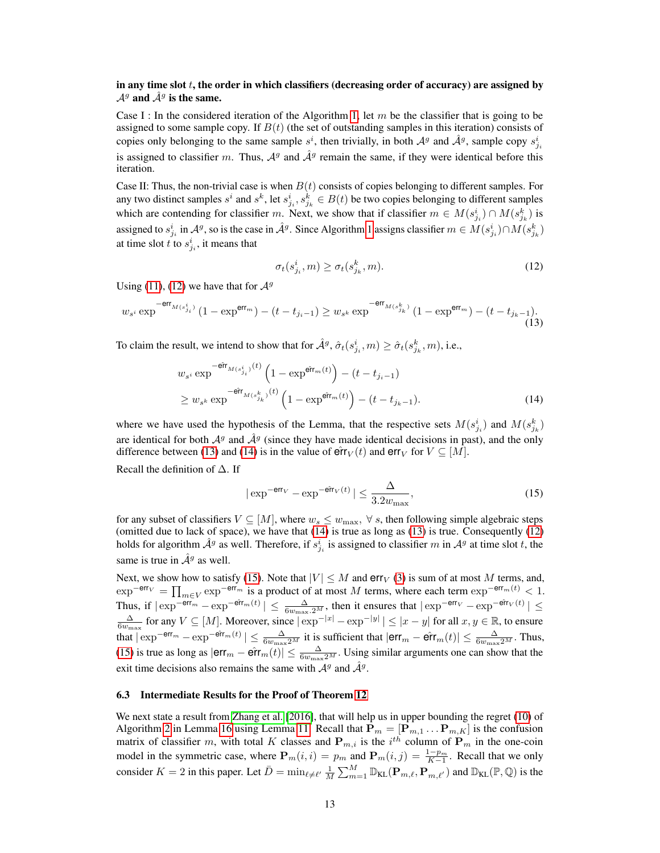# in any time slot  $t$ , the order in which classifiers (decreasing order of accuracy) are assigned by  $\mathcal{A}^g$  and  $\hat{\mathcal{A}}^g$  is the same.

Case I : In the considered iteration of the Algorithm [1,](#page-6-0) let  $m$  be the classifier that is going to be assigned to some sample copy. If  $B(t)$  (the set of outstanding samples in this iteration) consists of copies only belonging to the same sample  $s^i$ , then trivially, in both  $\mathcal{A}^g$  and  $\hat{\mathcal{A}}^g$ , sample copy  $s^i_{j_i}$ is assigned to classifier m. Thus,  $A<sup>g</sup>$  and  $A<sup>g</sup>$  remain the same, if they were identical before this iteration.

Case II: Thus, the non-trivial case is when  $B(t)$  consists of copies belonging to different samples. For any two distinct samples  $s^i$  and  $s^k$ , let  $s^i_{j_i}, s^k_{j_k} \in B(t)$  be two copies belonging to different samples which are contending for classifier m. Next, we show that if classifier  $m \in M(s_{j_i}^i) \cap M(s_{j_k}^k)$  is assigned to  $s_{j_i}^i$  in  $\mathcal{A}^g$ , so is the case in  $\hat{\mathcal{A}}^g$ . Since Algorithm [1](#page-6-0) assigns classifier  $m \in M(s_{j_i}^i) \cap M(s_{j_k}^k)$ at time slot t to  $s_{j_i}^i$ , it means that

<span id="page-12-2"></span><span id="page-12-1"></span><span id="page-12-0"></span>
$$
\sigma_t(s_{j_i}^i, m) \ge \sigma_t(s_{j_k}^k, m). \tag{12}
$$

Using [\(11\)](#page-11-0), [\(12\)](#page-12-0) we have that for  $\mathcal{A}^g$ 

$$
w_{s^i} \exp^{-\text{err}_{M(s^i_{j_i})}} (1 - \exp^{\text{err}_{m}}) - (t - t_{j_i - 1}) \ge w_{s^k} \exp^{-\text{err}_{M(s^k_{j_k})}} (1 - \exp^{\text{err}_{m}}) - (t - t_{j_k - 1}).
$$
\n(13)

To claim the result, we intend to show that for  $\hat{\mathcal{A}}^g$ ,  $\hat{\sigma}_t(s_{j_i}^i, m) \ge \hat{\sigma}_t(s_{j_k}^k, m)$ , i.e.,

$$
w_{s^i} \exp^{-\hat{\mathbf{err}}_{M(s_{j_i}^k)}(t)} \left(1 - \exp^{\hat{\mathbf{err}}_m(t)}\right) - (t - t_{j_i - 1})
$$
  
\n
$$
\geq w_{s^k} \exp^{-\hat{\mathbf{err}}_{M(s_{j_k}^k)}(t)} \left(1 - \exp^{\hat{\mathbf{err}}_m(t)}\right) - (t - t_{j_k - 1}).
$$
\n(14)

where we have used the hypothesis of the Lemma, that the respective sets  $M(s_{j_i}^i)$  and  $M(s_{j_k}^k)$ are identical for both  $\mathcal{A}^g$  and  $\mathcal{A}^g$  (since they have made identical decisions in past), and the only difference between [\(13\)](#page-12-1) and [\(14\)](#page-12-2) is in the value of  $\hat{\text{err}}_V(t)$  and  $\text{err}_V$  for  $V \subseteq [M]$ .

Recall the definition of ∆. If

<span id="page-12-3"></span>
$$
|\exp^{-\text{err}_{V}} - \exp^{-\hat{\text{err}}_{V}(t)}| \le \frac{\Delta}{3.2w_{\text{max}}},
$$
\n(15)

for any subset of classifiers  $V \subseteq [M]$ , where  $w_s \leq w_{\text{max}}$ ,  $\forall s$ , then following simple algebraic steps (omitted due to lack of space), we have that [\(14\)](#page-12-2) is true as long as [\(13\)](#page-12-1) is true. Consequently [\(12\)](#page-12-0) holds for algorithm  $\hat{\mathcal{A}}^g$  as well. Therefore, if  $s_{j_i}^i$  is assigned to classifier m in  $\mathcal{A}^g$  at time slot t, the same is true in  $\hat{\mathcal{A}}^g$  as well.

Next, we show how to satisfy [\(15\)](#page-12-3). Note that  $|V| \leq M$  and  $err_V$  [\(3\)](#page-3-5) is sum of at most M terms, and,  $\exp^{-\textsf{err}_{V}} = \prod_{m \in V} \exp^{-\textsf{err}_{m}}$  is a product of at most M terms, where each term  $\exp^{-\textsf{err}_{m}(t)} < 1$ . Thus, if  $|\exp^{-\theta \mathsf{r} r_m} - \exp^{-\theta \mathsf{r} r_m(t)}| \leq \frac{\Delta}{6w_{\max}.2^M}$ , then it ensures that  $|\exp^{-\theta \mathsf{r} r_V} - \exp^{-\theta \mathsf{r} r_V(t)}| \leq$  $\frac{\Delta}{6w_{\text{max}}}$  for any  $V \subseteq [M]$ . Moreover, since  $|\exp^{-|x|} - \exp^{-|y|}| \le |x - y|$  for all  $x, y \in \mathbb{R}$ , to ensure that  $|\exp^{-\theta r_m} - \exp^{-\theta r_m(t)}| \leq \frac{\Delta}{6w_{\max}2^M}$  it is sufficient that  $|\text{err}_m - \hat{\text{err}}_m(t)| \leq \frac{\Delta}{6w_{\max}2^M}$ . Thus, [\(15\)](#page-12-3) is true as long as  $|\text{err}_{m} - \hat{\text{err}}_{m}(t)| \leq \frac{\Delta}{6w_{\text{max}}2^M}$ . Using similar arguments one can show that the exit time decisions also remains the same with  $A<sup>g</sup>$  and  $\hat{A}<sup>g</sup>$ .

## 6.3 Intermediate Results for the Proof of Theorem [12](#page-7-2)

We next state a result from [Zhang et al.](#page-10-3) [\[2016\]](#page-10-3), that will help us in upper bounding the regret [\(10\)](#page-6-1) of Algorithm [2](#page-7-1) in Lemma [16](#page-14-0) using Lemma [11.](#page-7-0) Recall that  $\mathbf{P}_m = [\mathbf{P}_{m,1}^{\mathbf{\cdot}} \dots \mathbf{P}_{m,K}]$  is the confusion matrix of classifier m, with total K classes and  $P_{m,i}$  is the  $i^{th}$  column of  $P_m$  in the one-coin model in the symmetric case, where  $P_m(i, i) = p_m$  and  $P_m(i, j) = \frac{1-p_m}{K-1}$ . Recall that we only consider  $K = 2$  in this paper. Let  $\bar{D} = \min_{\ell \neq \ell'} \frac{1}{M} \sum_{m=1}^{M} \mathbb{D}_{KL}(\mathbf{P}_{m,\ell}, \mathbf{P}_{m,\ell'})$  and  $\mathbb{D}_{KL}(\mathbb{P}, \mathbb{Q})$  is the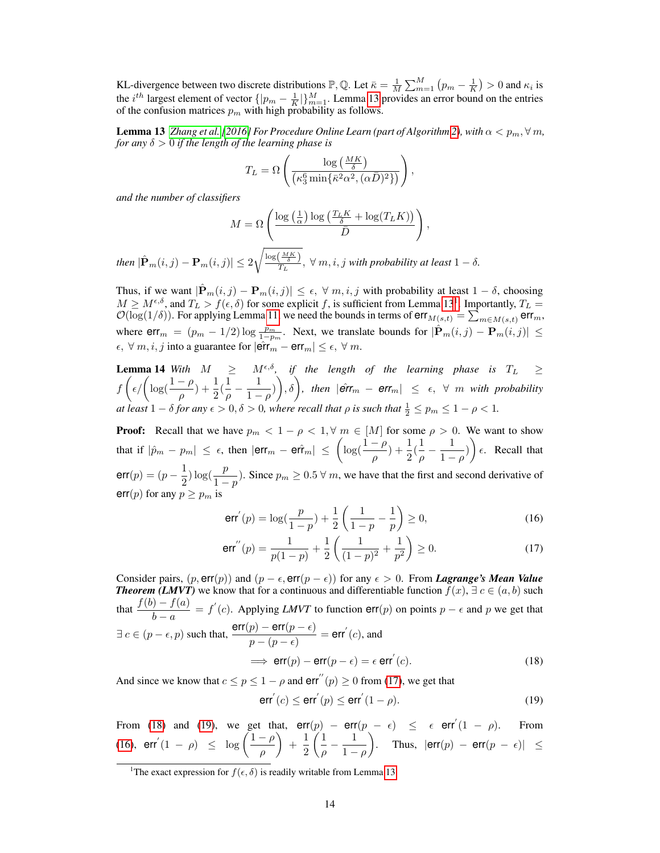KL-divergence between two discrete distributions  $\mathbb{P}, \mathbb{Q}$ . Let  $\bar{\kappa} = \frac{1}{M} \sum_{m=1}^{M} (p_m - \frac{1}{K}) > 0$  and  $\kappa_i$  is the  $i^{th}$  largest element of vector  $\{|p_m - \frac{1}{K}|\}_{m=1}^M$ . Lemma [13](#page-13-0) provides an error bound on the entries of the confusion matrices  $p_m$  with high probability as follows.

**Lemma 13** *[Zhang et al.](#page-10-3)* [\[2016\]](#page-10-3) *For Procedure Online Learn (part of Algorithm [2\)](#page-7-1), with*  $\alpha < p_m$ ,  $\forall m$ , *for any* δ > 0 *if the length of the learning phase is*

<span id="page-13-0"></span>
$$
T_L = \Omega \left( \frac{\log \left( \frac{MK}{\delta} \right)}{\left( \kappa_3^6 \min \{ \bar{\kappa}^2 \alpha^2, (\alpha \bar{D})^2 \} \right)} \right),
$$

*and the number of classifiers*

$$
M = \Omega \left( \frac{\log \left( \frac{1}{\alpha} \right) \log \left( \frac{T_L K}{\delta} + \log(T_L K) \right)}{\bar{D}} \right),\,
$$

then  $|\hat{P}_m(i,j)-P_m(i,j)| \leq 2\sqrt{\frac{\log\left(\frac{MK}{\delta}\right)}{T_L}}$  $\frac{(\overline{\delta}-\overline{\delta})}{T_L}$ ,  $\forall$   $m, i, j$  with probability at least  $1-\delta$ .

Thus, if we want  $|\hat{\mathbf{P}}_m(i,j) - \mathbf{P}_m(i,j)| \leq \epsilon$ ,  $\forall m, i, j$  with probability at least  $1 - \delta$ , choosing  $M \ge M^{\epsilon,\delta}$ , and  $T_L > f(\epsilon,\delta)$  for some explicit f, is sufficient from Lemma [13](#page-13-0)<sup>[1](#page-13-1)</sup>. Importantly,  $T_L =$  $\mathcal{O}(\log(1/\delta))$ . For applying Lemma [11,](#page-7-0) we need the bounds in terms of  $err_{M(s,t)} = \sum_{m \in M(s,t)} err_m$ , where  $err_m = (p_m - 1/2) \log \frac{p_m}{1-p_m}$ . Next, we translate bounds for  $|\hat{P}_m(i,j) - P_m(i,j)| \le$  $\epsilon, \forall m, i, j$  into a guarantee for  $|\hat{\textsf{err}}_m - \textsf{err}_m| \leq \epsilon, \forall m$ .

**Lemma 14** With  $M \geq M^{\epsilon,\delta}$ , if the length of the learning phase is  $T_L \geq$  $f\left(\epsilon/\left(\log(\frac{1-\rho}{\rho})+\frac{1}{2}(\frac{1}{\rho}\right)\right)$  $\frac{1}{\rho} - \frac{1}{1 - \rho}$  $\Big(\frac{1}{1-\rho})\Big),\delta\Big)$ , then  $|\hat{\textsf{err}}_m - \textsf{err}_m| \leq \epsilon, \; \forall \; m \; \textit{with probability}$ *at least*  $1 - \delta$  *for any*  $\epsilon > 0$ ,  $\delta > 0$ , where recall that  $\rho$  *is such that*  $\frac{1}{2} \leq p_m \leq 1 - \rho < 1$ .

**Proof:** Recall that we have  $p_m < 1 - \rho < 1$ ,  $\forall m \in [M]$  for some  $\rho > 0$ . We want to show that if  $|\hat{p}_m - p_m| \leq \epsilon$ , then  $|\textsf{err}_m - \textsf{err}_m| \leq \left(\log(\frac{1-\rho}{\rho}) + \frac{1}{2}(\frac{1}{\rho})\right)$  $\frac{1}{\rho} - \frac{1}{1 - \rho}$  $\left(\frac{1}{1-\rho}\right)\right)\epsilon$ . Recall that  $err(p) = (p - \frac{1}{2})$  $\frac{1}{2}$ ) log( $\frac{p}{1-p}$ ). Since  $p_m \ge 0.5 \forall m$ , we have that the first and second derivative of err(p) for any  $p \ge p_m$  is

<span id="page-13-5"></span>
$$
err'(p) = \log(\frac{p}{1-p}) + \frac{1}{2} \left( \frac{1}{1-p} - \frac{1}{p} \right) \ge 0,
$$
\n(16)

<span id="page-13-2"></span>
$$
err''(p) = \frac{1}{p(1-p)} + \frac{1}{2} \left( \frac{1}{(1-p)^2} + \frac{1}{p^2} \right) \ge 0.
$$
 (17)

Consider pairs,  $(p, err(p))$  and  $(p - \epsilon, err(p - \epsilon))$  for any  $\epsilon > 0$ . From *Lagrange's Mean Value Theorem (LMVT)* we know that for a continuous and differentiable function  $f(x)$ ,  $\exists c \in (a, b)$  such that  $\frac{f(b) - f(a)}{b - a} = f'(c)$ . Applying *LMVT* to function err(p) on points  $p - \epsilon$  and p we get that  $\exists c \in (p - \epsilon, p) \text{ such that, } \frac{\textsf{err}(p) - \textsf{err}(p - \epsilon)}{p - (p - \epsilon)} = \textsf{err}'(c), \text{ and}$  $\implies$  err $(p)$  – err $(p - \epsilon) = \epsilon$  err $^{'}$  $(18)$ 

And since we know that  $c \le p \le 1 - \rho$  and  $err''(p) \ge 0$  from [\(17\)](#page-13-2), we get that

<span id="page-13-4"></span><span id="page-13-3"></span>
$$
err'(c) \le err'(p) \le err'(1 - \rho).
$$
 (19)

From [\(18\)](#page-13-3) and [\(19\)](#page-13-4), we get that,  $err(p) - err(p - \epsilon) \leq \epsilon err'(1 - \rho)$ . From [\(16\)](#page-13-5),  $\textsf{err}'(1-\rho) \leq \log \left( \frac{1-\rho}{\rho} \right)$ ρ  $+$  $\frac{1}{2}$ 2  $\sqrt{1}$  $\frac{1}{\rho} - \frac{1}{1 - \rho}$  $1-\rho$ ). Thus,  $|\textsf{err}(p) - \textsf{err}(p - \epsilon)| \le$ 

<span id="page-13-1"></span><sup>&</sup>lt;sup>1</sup>The exact expression for  $f(\epsilon, \delta)$  is readily writable from Lemma [13.](#page-13-0)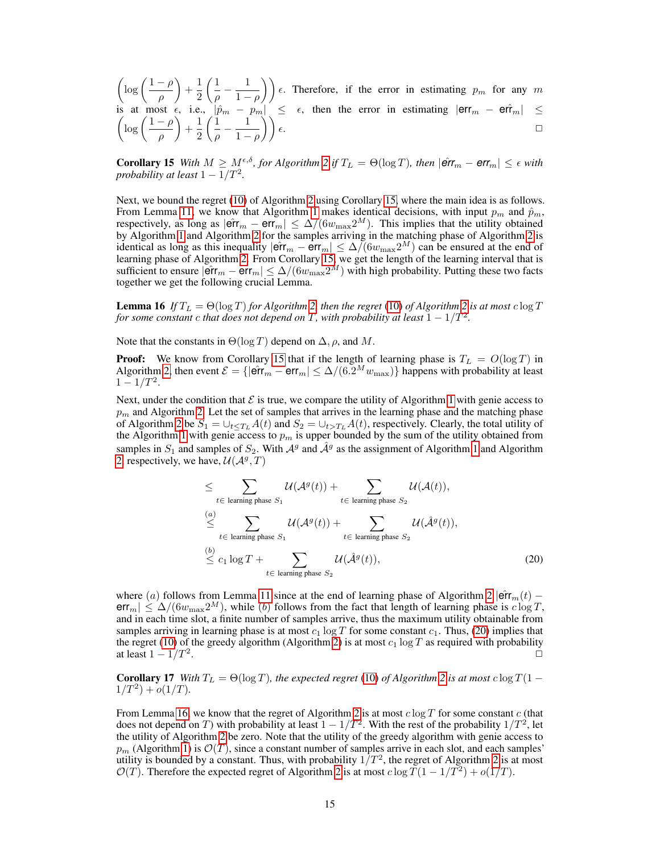$\int$ log  $\left(\frac{1-\rho}{\rho}\right)$ ρ  $+\frac{1}{2}$ 2  $\sqrt{1}$  $\frac{1}{\rho} - \frac{1}{1 - \rho}$  $\left(\frac{1}{1-\rho}\right)\bigg)\epsilon$ . Therefore, if the error in estimating  $p_m$  for any m is at most  $\epsilon$ , i.e.,  $|\hat{p}_m - p_m| \leq \epsilon$ , then the error in estimating  $|\textsf{err}_m - \textsf{err}_m| \leq$  $\int$ log  $\left(\frac{1-\rho}{\rho}\right)$ ρ  $+\frac{1}{2}$ 2  $\sqrt{1}$  $\frac{1}{\rho} - \frac{1}{1 - \rho}$  $\left(\frac{1}{1-\rho}\right)\bigg)\epsilon.$ 

<span id="page-14-1"></span>**Corollary 15** *With*  $M \geq M_{\epsilon}^{\epsilon,\delta}$ , for Algorithm [2](#page-7-1) if  $T_L = \Theta(\log T)$ , then  $|\hat{\textbf{err}}_m - \textbf{err}_m| \leq \epsilon$  with *probability at least*  $1-1/T^2$ .

Next, we bound the regret [\(10\)](#page-6-1) of Algorithm [2](#page-7-1) using Corollary [15,](#page-14-1) where the main idea is as follows. From Lemma [11,](#page-7-0) we know that Algorithm [1](#page-6-0) makes identical decisions, with input  $p_m$  and  $\hat{p}_m$ , respectively, as long as  $|\hat{\textsf{err}}_m - \textsf{err}_m| \leq \Delta/(6w_{\max}2^M)$ . This implies that the utility obtained by Algorithm [1](#page-6-0) and Algorithm [2](#page-7-1) for the samples arriving in the matching phase of Algorithm [2](#page-7-1) is identical as long as this inequality  $|\hat{\textsf{err}}_m - \hat{\textsf{err}}_m| \leq \Delta/(6w_{\max}2^M)$  can be ensured at the end of learning phase of Algorithm [2.](#page-7-1) From Corollary [15,](#page-14-1) we get the length of the learning interval that is sufficient to ensure  $|\widetilde{\textsf{err}}_m - \textsf{err}_m| \leq \Delta/(6w_{\max}2^M)$  with high probability. Putting these two facts together we get the following crucial Lemma.

<span id="page-14-0"></span>**Lemma 16** If  $T_L = \Theta(\log T)$  for Algorithm [2,](#page-7-1) then the regret [\(10\)](#page-6-1) of Algorithm [2](#page-7-1) is at most  $c \log T$ *for some constant c that does not depend on*  $T$ , with probability at least  $1 - 1/T^2$ .

Note that the constants in  $\Theta(\log T)$  depend on  $\Delta$ ,  $\rho$ , and M.

**Proof:** We know from Corollary [15](#page-14-1) that if the length of learning phase is  $T_L = O(\log T)$  in Algorithm [2,](#page-7-1) then event  $\mathcal{E} = \{|\hat{\textbf{err}}_m - \textbf{err}_m| \leq \Delta/(6.2^M w_{\text{max}})\}\$  happens with probability at least  $1 - 1/T^2$ .

Next, under the condition that  $\mathcal E$  is true, we compare the utility of Algorithm [1](#page-6-0) with genie access to  $p<sub>m</sub>$  and Algorithm [2.](#page-7-1) Let the set of samples that arrives in the learning phase and the matching phase of Algorithm [2](#page-7-1) be  $S_1 = \bigcup_{t \le T_L} A(t)$  and  $S_2 = \bigcup_{t > T_L} A(t)$ , respectively. Clearly, the total utility of the Algorithm [1](#page-6-0) with genie access to  $p_m$  is upper bounded by the sum of the utility obtained from samples in  $S_1$  and samples of  $S_2$ . With  $A^g$  and  $\hat{A}^g$  as the assignment of Algorithm [1](#page-6-0) and Algorithm [2,](#page-7-1) respectively, we have,  $\mathcal{U}(\mathcal{A}^g, T)$ 

<span id="page-14-3"></span><span id="page-14-2"></span>
$$
\leq \sum_{t \in \text{ learning phase } S_1} \mathcal{U}(\mathcal{A}^g(t)) + \sum_{t \in \text{ learning phase } S_2} \mathcal{U}(\mathcal{A}(t)),
$$
\n
$$
\leq \sum_{t \in \text{ learning phase } S_1} \mathcal{U}(\mathcal{A}^g(t)) + \sum_{t \in \text{ learning phase } S_2} \mathcal{U}(\hat{\mathcal{A}}^g(t)),
$$
\n
$$
\leq c_1 \log T + \sum_{t \in \text{ learning phase } S_2} \mathcal{U}(\hat{\mathcal{A}}^g(t)),
$$
\n(20)

where (a) follows from Lemma [11](#page-7-0) since at the end of learning phase of Algorithm [2](#page-7-1)  $|\hat{\textbf{err}}_m(t)$  $err_m | \leq \Delta/(6w_{\text{max}} 2^M)$ , while (b) follows from the fact that length of learning phase is  $c \log T$ , and in each time slot, a finite number of samples arrive, thus the maximum utility obtainable from samples arriving in learning phase is at most  $c_1 \log T$  for some constant  $c_1$ . Thus, [\(20\)](#page-14-2) implies that the regret [\(10\)](#page-6-1) of the greedy algorithm (Algorithm [2\)](#page-7-1) is at most  $c_1 \log T$  as required with probability at least  $1 - 1/T^2$ . . The contract of the contract of the contract of the contract of the contract of the contract of the contract of the contract of the contract of the contract of the contract of the contract of the contract of the contrac

**Corollary 17** *With*  $T_L = \Theta(\log T)$ *, the expected regret* [\(10\)](#page-6-1) *of Algorithm* [2](#page-7-1) *is at most* c  $\log T(1 1/T^2$ ) +  $o(1/T)$ .

From Lemma [16,](#page-14-0) we know that the regret of Algorithm [2](#page-7-1) is at most  $c \log T$  for some constant c (that does not depend on T) with probability at least  $1 - 1/T^2$ . With the rest of the probability  $1/T^2$ , let the utility of Algorithm [2](#page-7-1) be zero. Note that the utility of the greedy algorithm with genie access to  $p_m$  (Algorithm [1\)](#page-6-0) is  $\mathcal{O}(T)$ , since a constant number of samples arrive in each slot, and each samples' utility is bounded by a constant. Thus, with probability  $1/T^2$ , the regret of Algorithm [2](#page-7-1) is at most  $\mathcal{O}(T)$ . Therefore the expected regret of Algorithm [2](#page-7-1) is at most  $c \log T (1 - 1/T^2) + o(1/T)$ .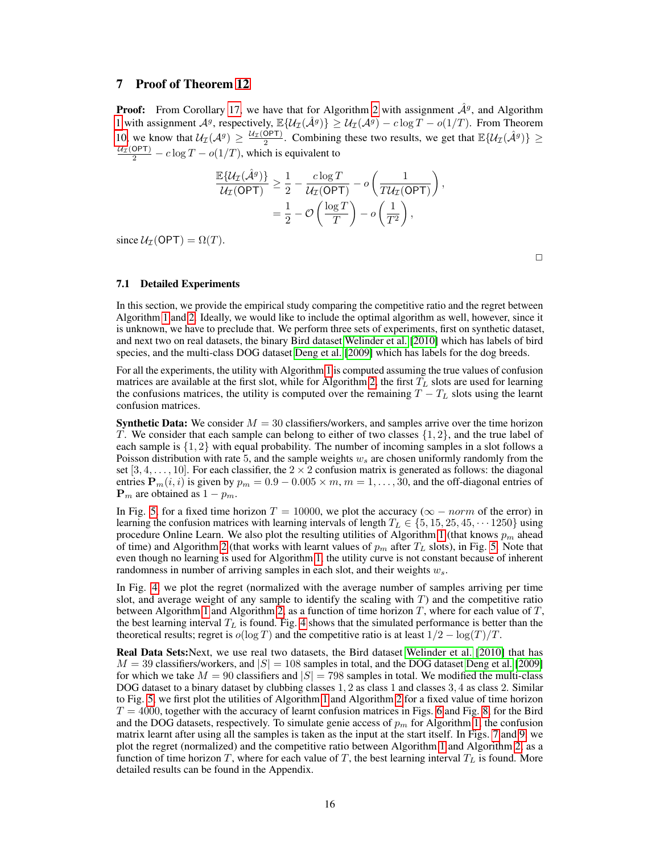# 7 Proof of Theorem [12](#page-7-2)

**Proof:** From Corollary [17,](#page-14-3) we have that for Algorithm [2](#page-7-1) with assignment  $\hat{\mathcal{A}}^g$ , and Algorithm [1](#page-6-0) with assignment  $\mathcal{A}^g$ , respectively,  $\mathbb{E}\{\mathcal{U}_\mathcal{I}(\hat{\mathcal{A}}^g)\}\geq \mathcal{U}_\mathcal{I}(\mathcal{A}^g)-c\log T-o(1/T)$ . From Theorem [10,](#page-5-0) we know that  $U_{\mathcal{I}}(\mathcal{A}^g) \geq \frac{U_{\mathcal{I}}(\mathsf{OPT})}{2}$ . Combining these two results, we get that  $\mathbb{E}\{\mathcal{U}_{\mathcal{I}}(\hat{\mathcal{A}}^g)\}\geq$  $\frac{\mu_{\mathcal{I}}(OPT)}{2} - c \log T - o(1/T)$ , which is equivalent to

$$
\frac{\mathbb{E}\{\mathcal{U}_{\mathcal{I}}(\hat{\mathcal{A}}^g)\}}{\mathcal{U}_{\mathcal{I}}(\text{OPT})} \geq \frac{1}{2} - \frac{c \log T}{\mathcal{U}_{\mathcal{I}}(\text{OPT})} - o\left(\frac{1}{T\mathcal{U}_{\mathcal{I}}(\text{OPT})}\right),
$$
  
=  $\frac{1}{2} - \mathcal{O}\left(\frac{\log T}{T}\right) - o\left(\frac{1}{T^2}\right),$ 

since  $U_T(OPT) = \Omega(T)$ .

 $\Box$ 

#### 7.1 Detailed Experiments

In this section, we provide the empirical study comparing the competitive ratio and the regret between Algorithm [1](#page-6-0) and [2.](#page-7-1) Ideally, we would like to include the optimal algorithm as well, however, since it is unknown, we have to preclude that. We perform three sets of experiments, first on synthetic dataset, and next two on real datasets, the binary Bird dataset [Welinder et al.](#page-10-17) [\[2010\]](#page-10-17) which has labels of bird species, and the multi-class DOG dataset [Deng et al.](#page-10-18) [\[2009\]](#page-10-18) which has labels for the dog breeds.

For all the experiments, the utility with Algorithm [1](#page-6-0) is computed assuming the true values of confusion matrices are available at the first slot, while for Algorithm [2,](#page-7-1) the first  $T_L$  slots are used for learning the confusions matrices, the utility is computed over the remaining  $T - T<sub>L</sub>$  slots using the learnt confusion matrices.

**Synthetic Data:** We consider  $M = 30$  classifiers/workers, and samples arrive over the time horizon T. We consider that each sample can belong to either of two classes  $\{1, 2\}$ , and the true label of each sample is  $\{1, 2\}$  with equal probability. The number of incoming samples in a slot follows a Poisson distribution with rate 5, and the sample weights  $w<sub>s</sub>$  are chosen uniformly randomly from the set [3, 4, . . . , 10]. For each classifier, the  $2 \times 2$  confusion matrix is generated as follows: the diagonal entries  $P_m(i, i)$  is given by  $p_m = 0.9 - 0.005 \times m$ ,  $m = 1, \ldots, 30$ , and the off-diagonal entries of  ${\bf P}_m$  are obtained as  $1 - p_m$ .

In Fig. [5,](#page-16-1) for a fixed time horizon  $T = 10000$ , we plot the accuracy ( $\infty - norm$  of the error) in learning the confusion matrices with learning intervals of length  $T_L \in \{5, 15, 25, 45, \dots 1250\}$  using procedure Online Learn. We also plot the resulting utilities of Algorithm [1](#page-6-0) (that knows  $p_m$  ahead of time) and Algorithm [2](#page-7-1) (that works with learnt values of  $p<sub>m</sub>$  after  $T<sub>L</sub>$  slots), in Fig. [5.](#page-16-1) Note that even though no learning is used for Algorithm [1,](#page-6-0) the utility curve is not constant because of inherent randomness in number of arriving samples in each slot, and their weights  $w_s$ .

In Fig. [4,](#page-16-0) we plot the regret (normalized with the average number of samples arriving per time slot, and average weight of any sample to identify the scaling with  $T$ ) and the competitive ratio between Algorithm [1](#page-6-0) and Algorithm [2,](#page-7-1) as a function of time horizon  $T$ , where for each value of  $T$ , the best learning interval  $T_L$  is found. Fig. [4](#page-16-0) shows that the simulated performance is better than the theoretical results; regret is  $o(\log T)$  and the competitive ratio is at least  $1/2 - \log(T)/T$ .

Real Data Sets:Next, we use real two datasets, the Bird dataset [Welinder et al.](#page-10-17) [\[2010\]](#page-10-17) that has  $M = 39$  classifiers/workers, and  $|S| = 108$  samples in total, and the DOG dataset [Deng et al.](#page-10-18) [\[2009\]](#page-10-18) for which we take  $M = 90$  classifiers and  $|S| = 798$  samples in total. We modified the multi-class DOG dataset to a binary dataset by clubbing classes 1, 2 as class 1 and classes 3, 4 as class 2. Similar to Fig. [5,](#page-16-1) we first plot the utilities of Algorithm [1](#page-6-0) and Algorithm [2](#page-7-1) for a fixed value of time horizon  $T = 4000$ , together with the accuracy of learnt confusion matrices in Figs. [6](#page-17-1) and Fig. [8,](#page-18-1) for the Bird and the DOG datasets, respectively. To simulate genie access of  $p<sub>m</sub>$  for Algorithm [1,](#page-6-0) the confusion matrix learnt after using all the samples is taken as the input at the start itself. In Figs. [7](#page-17-0) and [9,](#page-18-0) we plot the regret (normalized) and the competitive ratio between Algorithm [1](#page-6-0) and Algorithm [2,](#page-7-1) as a function of time horizon T, where for each value of T, the best learning interval  $T_L$  is found. More detailed results can be found in the Appendix.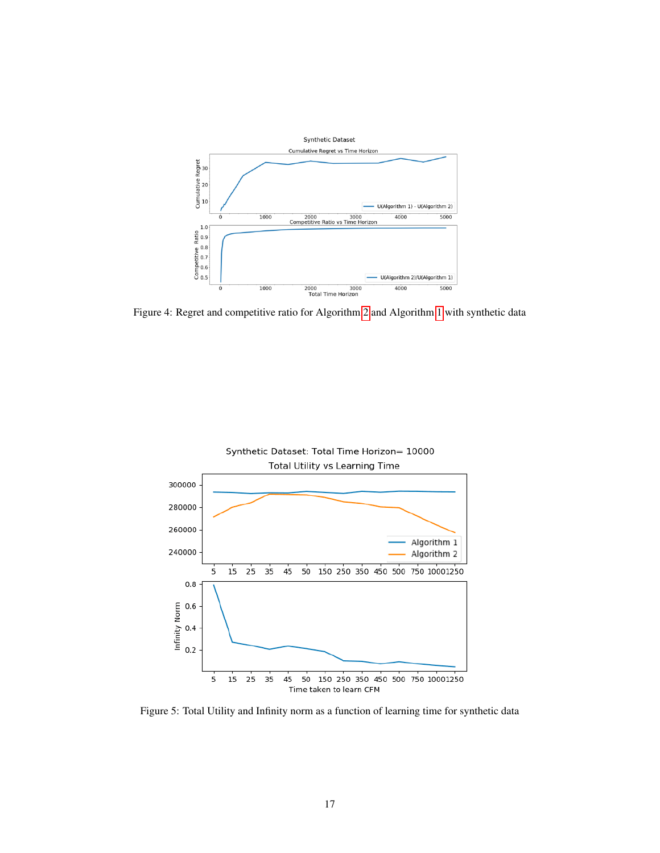<span id="page-16-0"></span>

Figure 4: Regret and competitive ratio for Algorithm [2](#page-7-1) and Algorithm [1](#page-6-0) with synthetic data

<span id="page-16-1"></span>

Figure 5: Total Utility and Infinity norm as a function of learning time for synthetic data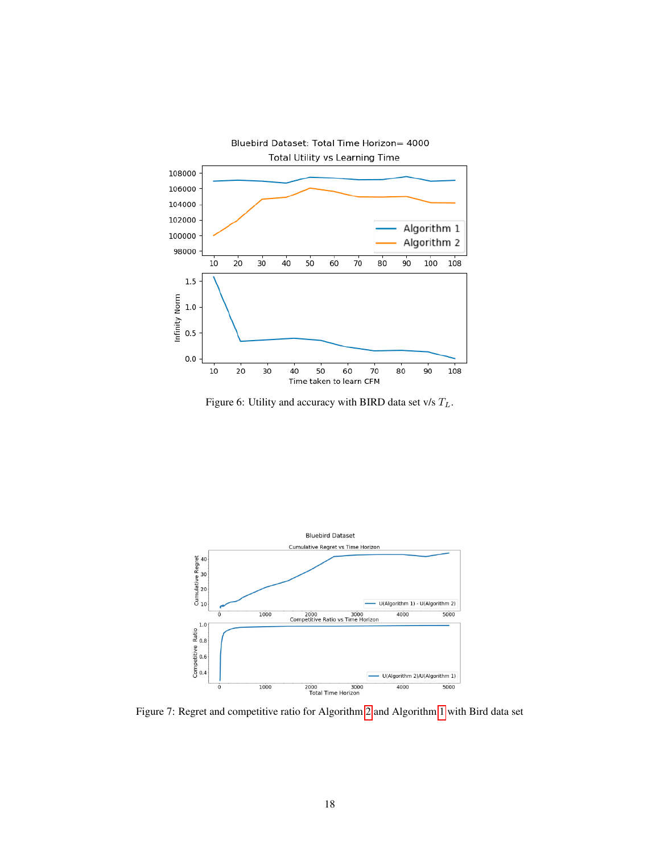<span id="page-17-1"></span>

Figure 6: Utility and accuracy with BIRD data set v/s  $T_L$ .

<span id="page-17-0"></span>

Figure 7: Regret and competitive ratio for Algorithm [2](#page-7-1) and Algorithm [1](#page-6-0) with Bird data set